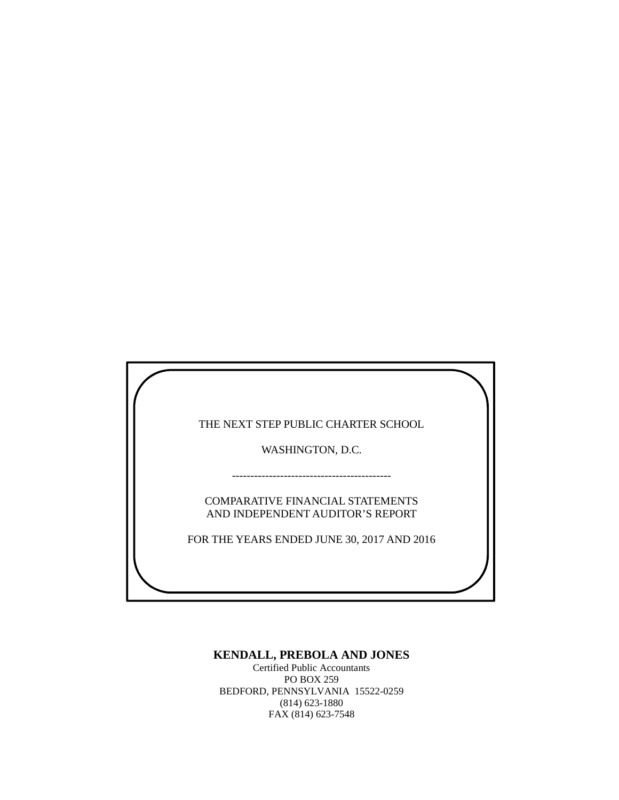THE NEXT STEP PUBLIC CHARTER SCHOOL

WASHINGTON, D.C.

-------------------------------------------

COMPARATIVE FINANCIAL STATEMENTS AND INDEPENDENT AUDITOR'S REPORT

FOR THE YEARS ENDED JUNE 30, 2017 AND 2016

## **KENDALL, PREBOLA AND JONES**

Certified Public Accountants PO BOX 259 BEDFORD, PENNSYLVANIA 15522-0259 (814) 623-1880 FAX (814) 623-7548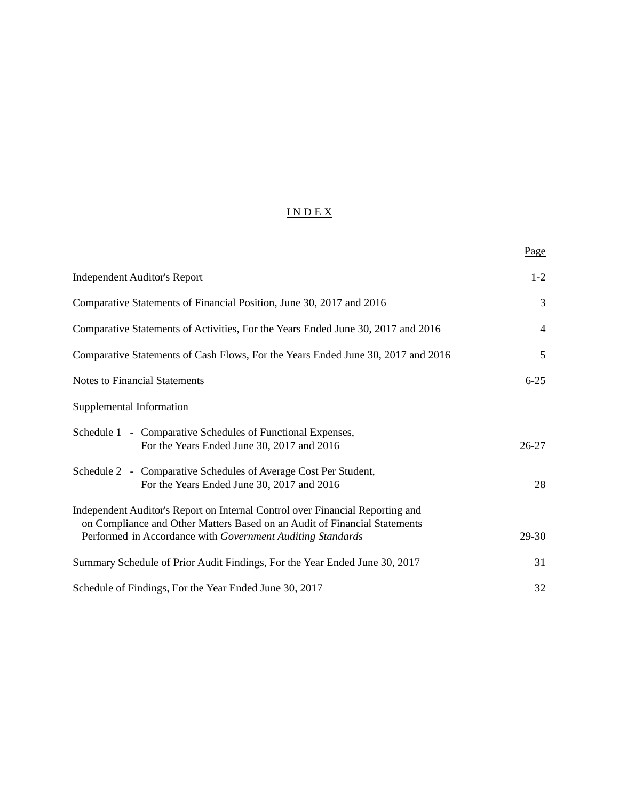## I N D E X

|                                                                                                                                                                                                                          | Page      |
|--------------------------------------------------------------------------------------------------------------------------------------------------------------------------------------------------------------------------|-----------|
| <b>Independent Auditor's Report</b>                                                                                                                                                                                      | $1-2$     |
| Comparative Statements of Financial Position, June 30, 2017 and 2016                                                                                                                                                     | 3         |
| Comparative Statements of Activities, For the Years Ended June 30, 2017 and 2016                                                                                                                                         | 4         |
| Comparative Statements of Cash Flows, For the Years Ended June 30, 2017 and 2016                                                                                                                                         | 5         |
| <b>Notes to Financial Statements</b>                                                                                                                                                                                     | $6 - 25$  |
| Supplemental Information                                                                                                                                                                                                 |           |
| Schedule 1 - Comparative Schedules of Functional Expenses,<br>For the Years Ended June 30, 2017 and 2016                                                                                                                 | $26 - 27$ |
| Schedule 2 - Comparative Schedules of Average Cost Per Student,<br>For the Years Ended June 30, 2017 and 2016                                                                                                            | 28        |
| Independent Auditor's Report on Internal Control over Financial Reporting and<br>on Compliance and Other Matters Based on an Audit of Financial Statements<br>Performed in Accordance with Government Auditing Standards | 29-30     |
| Summary Schedule of Prior Audit Findings, For the Year Ended June 30, 2017                                                                                                                                               | 31        |
| Schedule of Findings, For the Year Ended June 30, 2017                                                                                                                                                                   | 32        |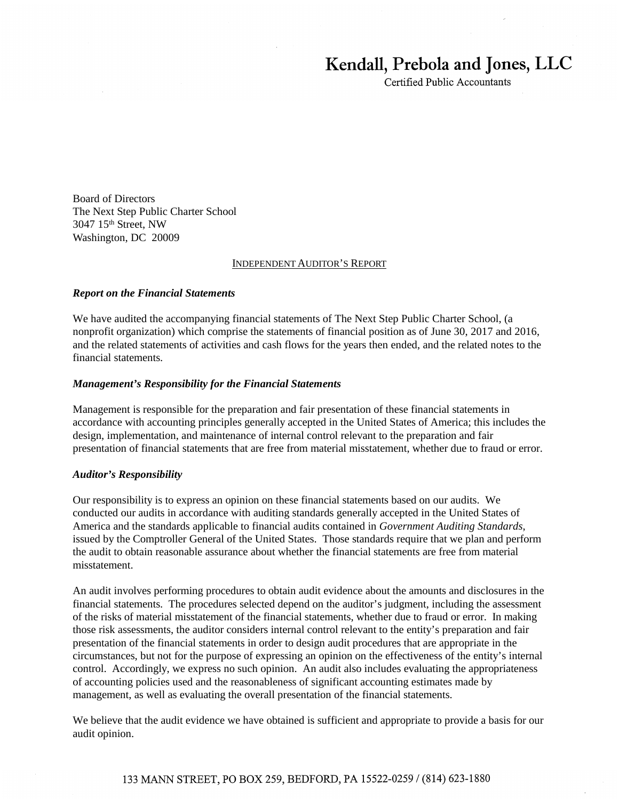# Kendall, Prebola and Jones, LLC

Certified Public Accountants

Board of Directors The Next Step Public Charter School 3047 15th Street, NW Washington, DC 20009

#### INDEPENDENT AUDITOR'S REPORT

#### *Report on the Financial Statements*

We have audited the accompanying financial statements of The Next Step Public Charter School, (a nonprofit organization) which comprise the statements of financial position as of June 30, 2017 and 2016, and the related statements of activities and cash flows for the years then ended, and the related notes to the financial statements.

#### *Management's Responsibility for the Financial Statements*

Management is responsible for the preparation and fair presentation of these financial statements in accordance with accounting principles generally accepted in the United States of America; this includes the design, implementation, and maintenance of internal control relevant to the preparation and fair presentation of financial statements that are free from material misstatement, whether due to fraud or error.

#### *Auditor's Responsibility*

Our responsibility is to express an opinion on these financial statements based on our audits. We conducted our audits in accordance with auditing standards generally accepted in the United States of America and the standards applicable to financial audits contained in *Government Auditing Standards*, issued by the Comptroller General of the United States. Those standards require that we plan and perform the audit to obtain reasonable assurance about whether the financial statements are free from material misstatement.

An audit involves performing procedures to obtain audit evidence about the amounts and disclosures in the financial statements. The procedures selected depend on the auditor's judgment, including the assessment of the risks of material misstatement of the financial statements, whether due to fraud or error. In making those risk assessments, the auditor considers internal control relevant to the entity's preparation and fair presentation of the financial statements in order to design audit procedures that are appropriate in the circumstances, but not for the purpose of expressing an opinion on the effectiveness of the entity's internal control. Accordingly, we express no such opinion. An audit also includes evaluating the appropriateness of accounting policies used and the reasonableness of significant accounting estimates made by management, as well as evaluating the overall presentation of the financial statements.

We believe that the audit evidence we have obtained is sufficient and appropriate to provide a basis for our audit opinion.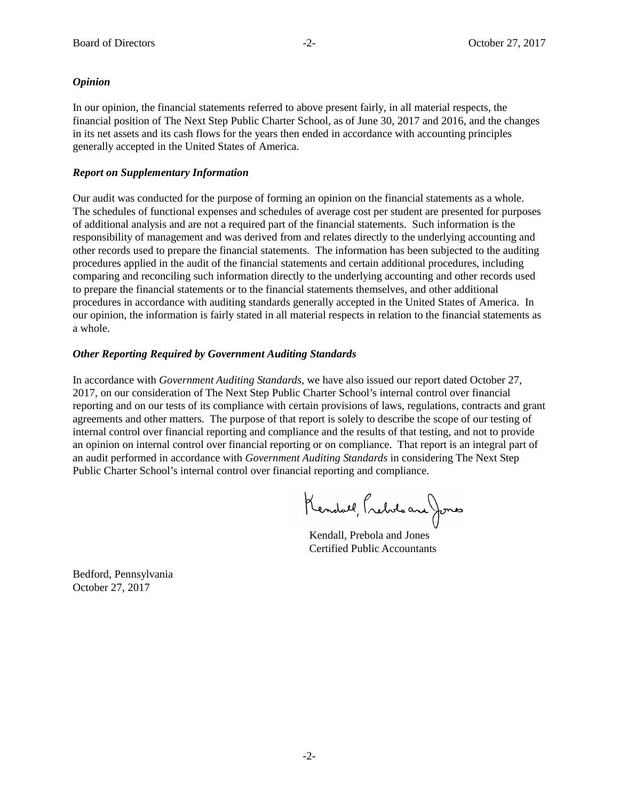#### *Opinion*

In our opinion, the financial statements referred to above present fairly, in all material respects, the financial position of The Next Step Public Charter School, as of June 30, 2017 and 2016, and the changes in its net assets and its cash flows for the years then ended in accordance with accounting principles generally accepted in the United States of America.

## *Report on Supplementary Information*

Our audit was conducted for the purpose of forming an opinion on the financial statements as a whole. The schedules of functional expenses and schedules of average cost per student are presented for purposes of additional analysis and are not a required part of the financial statements. Such information is the responsibility of management and was derived from and relates directly to the underlying accounting and other records used to prepare the financial statements. The information has been subjected to the auditing procedures applied in the audit of the financial statements and certain additional procedures, including comparing and reconciling such information directly to the underlying accounting and other records used to prepare the financial statements or to the financial statements themselves, and other additional procedures in accordance with auditing standards generally accepted in the United States of America. In our opinion, the information is fairly stated in all material respects in relation to the financial statements as a whole.

## *Other Reporting Required by Government Auditing Standards*

In accordance with *Government Auditing Standards*, we have also issued our report dated October 27, 2017, on our consideration of The Next Step Public Charter School's internal control over financial reporting and on our tests of its compliance with certain provisions of laws, regulations, contracts and grant agreements and other matters. The purpose of that report is solely to describe the scope of our testing of internal control over financial reporting and compliance and the results of that testing, and not to provide an opinion on internal control over financial reporting or on compliance. That report is an integral part of an audit performed in accordance with *Government Auditing Standards* in considering The Next Step Public Charter School's internal control over financial reporting and compliance.

Kendal, Prebla and Jones

Kendall, Prebola and Jones Certified Public Accountants

Bedford, Pennsylvania October 27, 2017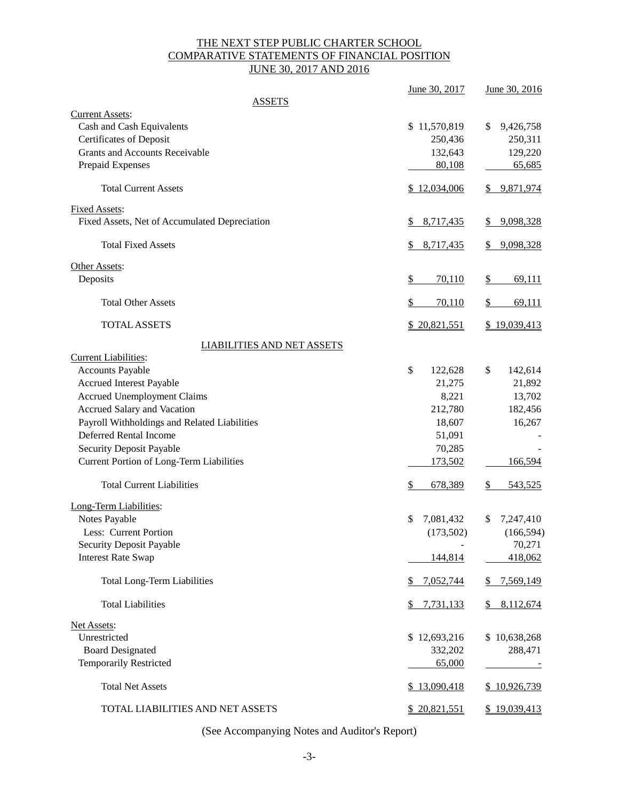## THE NEXT STEP PUBLIC CHARTER SCHOOL COMPARATIVE STATEMENTS OF FINANCIAL POSITION JUNE 30, 2017 AND 2016

|                                                     | June 30, 2017   | June 30, 2016           |
|-----------------------------------------------------|-----------------|-------------------------|
| <b>ASSETS</b>                                       |                 |                         |
| <b>Current Assets:</b><br>Cash and Cash Equivalents | \$11,570,819    | \$<br>9,426,758         |
| <b>Certificates of Deposit</b>                      | 250,436         | 250,311                 |
| <b>Grants and Accounts Receivable</b>               | 132,643         | 129,220                 |
| Prepaid Expenses                                    | 80,108          | 65,685                  |
| <b>Total Current Assets</b>                         | \$12,034,006    | \$9,871,974             |
| <b>Fixed Assets:</b>                                |                 |                         |
| Fixed Assets, Net of Accumulated Depreciation       | 8,717,435<br>S. | 9,098,328<br>S.         |
| <b>Total Fixed Assets</b>                           | \$8,717,435     | \$9,098,328             |
| Other Assets:                                       |                 |                         |
| Deposits                                            | \$<br>70,110    | $\frac{1}{2}$<br>69,111 |
| <b>Total Other Assets</b>                           | \$<br>70,110    | \$<br>69,111            |
| <b>TOTAL ASSETS</b>                                 | \$20,821,551    | \$19,039,413            |
| <b>LIABILITIES AND NET ASSETS</b>                   |                 |                         |
| <b>Current Liabilities:</b>                         |                 |                         |
| <b>Accounts Payable</b>                             | \$<br>122,628   | \$<br>142,614           |
| Accrued Interest Payable                            | 21,275          | 21,892                  |
| <b>Accrued Unemployment Claims</b>                  | 8,221           | 13,702                  |
| Accrued Salary and Vacation                         | 212,780         | 182,456                 |
| Payroll Withholdings and Related Liabilities        | 18,607          | 16,267                  |
| Deferred Rental Income                              | 51,091          |                         |
| Security Deposit Payable                            | 70,285          |                         |
| Current Portion of Long-Term Liabilities            | 173,502         | 166,594                 |
| <b>Total Current Liabilities</b>                    | \$<br>678,389   | \$<br>543,525           |
| Long-Term Liabilities:                              |                 |                         |
| Notes Payable                                       | \$<br>7,081,432 | \$<br>7,247,410         |
| Less: Current Portion                               | (173,502)       | (166, 594)              |
| Security Deposit Payable                            |                 | 70,271                  |
| <b>Interest Rate Swap</b>                           | 144,814         | 418,062                 |
| <b>Total Long-Term Liabilities</b>                  | 7,052,744<br>\$ | 7,569,149               |
| <b>Total Liabilities</b>                            | \$7,731,133     | 8,112,674<br>S.         |
|                                                     |                 |                         |
| Net Assets:<br>Unrestricted                         | \$12,693,216    | \$10,638,268            |
| <b>Board Designated</b>                             | 332,202         | 288,471                 |
| <b>Temporarily Restricted</b>                       | 65,000          |                         |
|                                                     |                 |                         |
| <b>Total Net Assets</b>                             | \$13,090,418    | \$10,926,739            |
| TOTAL LIABILITIES AND NET ASSETS                    | \$20,821,551    | \$19,039,413            |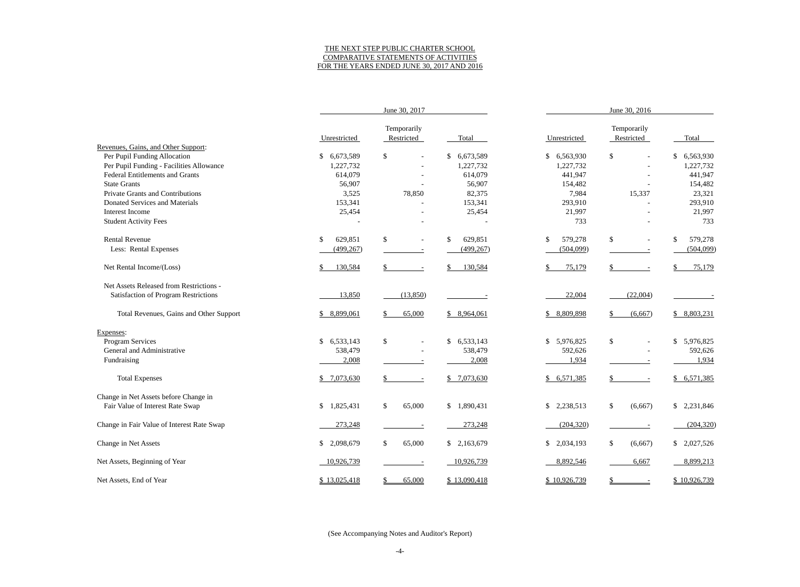#### THE NEXT STEP PUBLIC CHARTER SCHOOL COMPARATIVE STATEMENTS OF ACTIVITIES FOR THE YEARS ENDED JUNE 30, 2017 AND 2016

|                                            | June 30, 2017           |              |                          | June 30, 2016   |                                |                           |  |
|--------------------------------------------|-------------------------|--------------|--------------------------|-----------------|--------------------------------|---------------------------|--|
|                                            |                         | Temporarily  |                          |                 | Temporarily                    |                           |  |
|                                            | Unrestricted            | Restricted   | Total                    | Unrestricted    | Restricted                     | Total                     |  |
| Revenues, Gains, and Other Support:        |                         |              |                          |                 |                                |                           |  |
| Per Pupil Funding Allocation               | 6,673,589<br>\$         | $\mathbb{S}$ | 6,673,589<br>\$          | \$6,563,930     | \$                             | 6,563,930<br>$\mathbb{S}$ |  |
| Per Pupil Funding - Facilities Allowance   | 1,227,732               |              | 1,227,732                | 1,227,732       | $\overline{a}$                 | 1,227,732                 |  |
| <b>Federal Entitlements and Grants</b>     | 614,079                 |              | 614,079                  | 441,947         | $\sim$                         | 441,947                   |  |
| <b>State Grants</b>                        | 56,907                  |              | 56,907                   | 154,482         |                                | 154,482                   |  |
| Private Grants and Contributions           | 3,525                   | 78,850       | 82,375                   | 7,984           | 15,337                         | 23,321                    |  |
| Donated Services and Materials             | 153,341                 |              | 153,341                  | 293,910         |                                | 293,910                   |  |
| Interest Income                            | 25,454                  |              | 25,454                   | 21,997          | $\sim$                         | 21,997                    |  |
| <b>Student Activity Fees</b>               |                         |              |                          | 733             | ÷.                             | 733                       |  |
| <b>Rental Revenue</b>                      | $\mathbb{S}$<br>629,851 | \$           | $\mathcal{L}$<br>629,851 | 579,278<br>\$   | \$<br>$\overline{a}$           | 579,278<br>\$             |  |
| Less: Rental Expenses                      | (499, 267)              |              | (499, 267)               | (504,099)       | $\overline{\phantom{a}}$       | (504,099)                 |  |
| Net Rental Income/(Loss)                   | 130,584                 |              | 130,584<br>\$.           | 75,179          |                                | 75,179                    |  |
| Net Assets Released from Restrictions -    |                         |              |                          |                 |                                |                           |  |
| Satisfaction of Program Restrictions       | 13,850                  | (13,850)     |                          | 22,004          | (22,004)                       |                           |  |
| Total Revenues, Gains and Other Support    | \$8,899,061             | 65,000       | \$8,964,061              | \$ 8,809,898    | \$<br>(6,667)                  | \$8,803,231               |  |
| Expenses:                                  |                         |              |                          |                 |                                |                           |  |
| <b>Program Services</b>                    | \$6,533,143             | \$           | \$6,533,143              | \$5,976,825     | \$<br>$\overline{\phantom{a}}$ | \$5,976,825               |  |
| General and Administrative                 | 538,479                 |              | 538,479                  | 592,626         |                                | 592,626                   |  |
| Fundraising                                | 2,008                   |              | 2,008                    | 1,934           |                                | 1,934                     |  |
| <b>Total Expenses</b>                      | \$7,073,630             |              | \$7,073,630              | \$6,571,385     | $\sim$                         | \$6,571,385               |  |
| Change in Net Assets before Change in      |                         |              |                          |                 |                                |                           |  |
| Fair Value of Interest Rate Swap           | \$1,825,431             | \$<br>65,000 | \$1,890,431              | \$2,238,513     | \$<br>(6,667)                  | \$2,231,846               |  |
| Change in Fair Value of Interest Rate Swap | 273,248                 |              | 273,248                  | (204, 320)      |                                | (204, 320)                |  |
| Change in Net Assets                       | \$ 2,098,679            | 65,000<br>\$ | \$2,163,679              | 2,034,193<br>\$ | \$<br>(6,667)                  | \$<br>2,027,526           |  |
| Net Assets, Beginning of Year              | 10,926,739              |              | 10,926,739               | 8,892,546       | 6,667                          | 8,899,213                 |  |
| Net Assets, End of Year                    | \$13,025,418            | 65,000       | \$13,090,418             | \$10,926,739    | $\sim$                         | \$10,926,739              |  |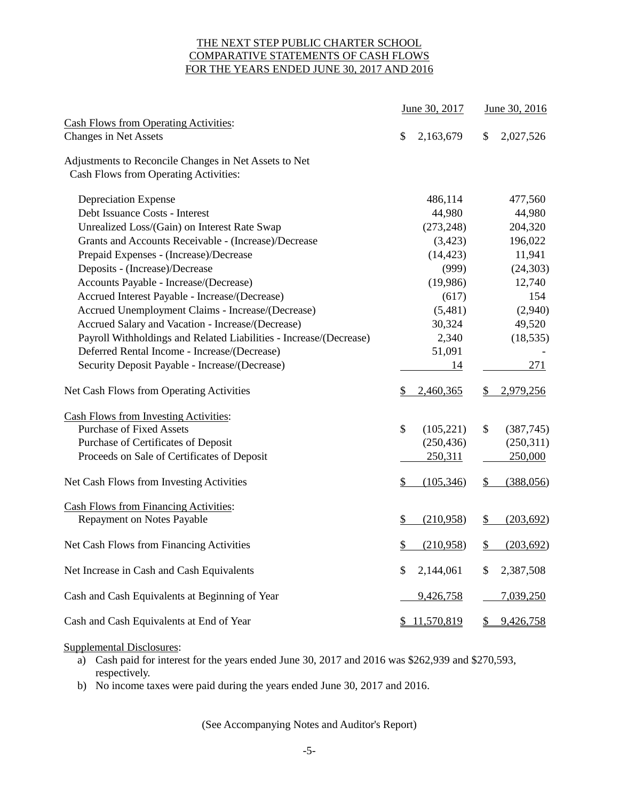## THE NEXT STEP PUBLIC CHARTER SCHOOL COMPARATIVE STATEMENTS OF CASH FLOWS FOR THE YEARS ENDED JUNE 30, 2017 AND 2016

|                                                                              |               | June 30, 2017 |                        | June 30, 2016 |  |
|------------------------------------------------------------------------------|---------------|---------------|------------------------|---------------|--|
| <b>Cash Flows from Operating Activities:</b><br><b>Changes in Net Assets</b> | $\mathbb{S}$  | 2,163,679     | \$                     | 2,027,526     |  |
| Adjustments to Reconcile Changes in Net Assets to Net                        |               |               |                        |               |  |
| Cash Flows from Operating Activities:                                        |               |               |                        |               |  |
| <b>Depreciation Expense</b>                                                  |               | 486,114       |                        | 477,560       |  |
| Debt Issuance Costs - Interest                                               |               | 44,980        |                        | 44,980        |  |
| Unrealized Loss/(Gain) on Interest Rate Swap                                 |               | (273, 248)    |                        | 204,320       |  |
| Grants and Accounts Receivable - (Increase)/Decrease                         |               | (3, 423)      |                        | 196,022       |  |
| Prepaid Expenses - (Increase)/Decrease                                       |               | (14, 423)     |                        | 11,941        |  |
| Deposits - (Increase)/Decrease                                               |               | (999)         |                        | (24, 303)     |  |
| Accounts Payable - Increase/(Decrease)                                       |               | (19,986)      |                        | 12,740        |  |
| Accrued Interest Payable - Increase/(Decrease)                               |               | (617)         |                        | 154           |  |
| Accrued Unemployment Claims - Increase/(Decrease)                            |               | (5,481)       |                        | (2,940)       |  |
| Accrued Salary and Vacation - Increase/(Decrease)                            |               | 30,324        |                        | 49,520        |  |
| Payroll Withholdings and Related Liabilities - Increase/(Decrease)           |               | 2,340         |                        | (18, 535)     |  |
| Deferred Rental Income - Increase/(Decrease)                                 |               | 51,091        |                        |               |  |
| Security Deposit Payable - Increase/(Decrease)                               |               | 14            |                        | 271           |  |
| Net Cash Flows from Operating Activities                                     | <sup>S</sup>  | 2,460,365     | \$                     | 2,979,256     |  |
| <b>Cash Flows from Investing Activities:</b>                                 |               |               |                        |               |  |
| <b>Purchase of Fixed Assets</b>                                              | $\mathsf{\$}$ | (105, 221)    | \$                     | (387,745)     |  |
| Purchase of Certificates of Deposit                                          |               | (250, 436)    |                        | (250,311)     |  |
| Proceeds on Sale of Certificates of Deposit                                  |               | 250,311       |                        | 250,000       |  |
| Net Cash Flows from Investing Activities                                     | \$            | (105, 346)    | $\frac{1}{2}$          | (388, 056)    |  |
| <b>Cash Flows from Financing Activities:</b>                                 |               |               |                        |               |  |
| Repayment on Notes Payable                                                   | $\frac{1}{2}$ | (210,958)     | $\frac{1}{2}$          | (203, 692)    |  |
| Net Cash Flows from Financing Activities                                     | \$            | (210,958)     | \$                     | (203, 692)    |  |
| Net Increase in Cash and Cash Equivalents                                    | \$            | 2,144,061     | \$                     | 2,387,508     |  |
| Cash and Cash Equivalents at Beginning of Year                               |               | 9,426,758     |                        | 7,039,250     |  |
| Cash and Cash Equivalents at End of Year                                     |               | \$11,570,819  | $\mathbf{\mathcal{L}}$ | 9,426,758     |  |

#### Supplemental Disclosures:

- a) Cash paid for interest for the years ended June 30, 2017 and 2016 was \$262,939 and \$270,593, respectively.
- b) No income taxes were paid during the years ended June 30, 2017 and 2016.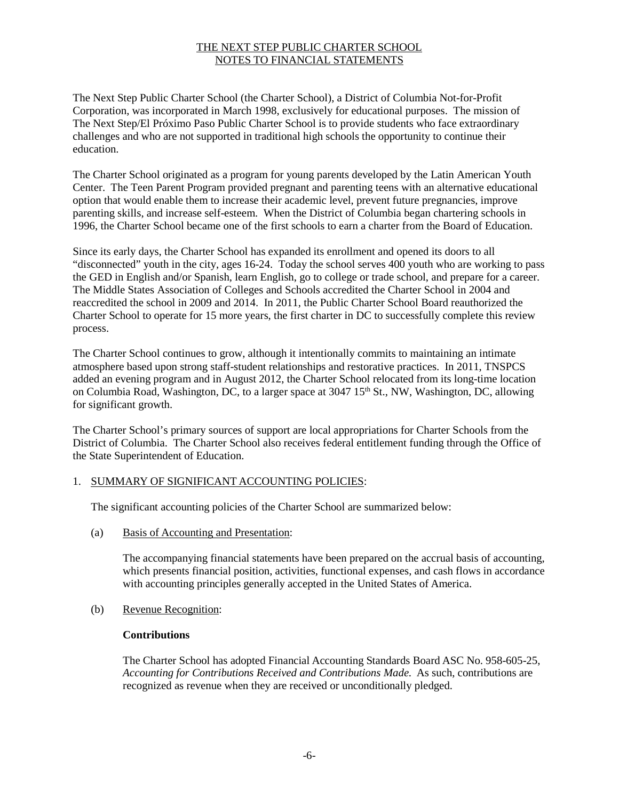The Next Step Public Charter School (the Charter School), a District of Columbia Not-for-Profit Corporation, was incorporated in March 1998, exclusively for educational purposes. The mission of The Next Step/El Próximo Paso Public Charter School is to provide students who face extraordinary challenges and who are not supported in traditional high schools the opportunity to continue their education.

The Charter School originated as a program for young parents developed by the Latin American Youth Center. The Teen Parent Program provided pregnant and parenting teens with an alternative educational option that would enable them to increase their academic level, prevent future pregnancies, improve parenting skills, and increase self-esteem. When the District of Columbia began chartering schools in 1996, the Charter School became one of the first schools to earn a charter from the Board of Education.

Since its early days, the Charter School has expanded its enrollment and opened its doors to all "disconnected" youth in the city, ages 16-24. Today the school serves 400 youth who are working to pass the GED in English and/or Spanish, learn English, go to college or trade school, and prepare for a career. The Middle States Association of Colleges and Schools accredited the Charter School in 2004 and reaccredited the school in 2009 and 2014. In 2011, the Public Charter School Board reauthorized the Charter School to operate for 15 more years, the first charter in DC to successfully complete this review process.

The Charter School continues to grow, although it intentionally commits to maintaining an intimate atmosphere based upon strong staff-student relationships and restorative practices. In 2011, TNSPCS added an evening program and in August 2012, the Charter School relocated from its long-time location on Columbia Road, Washington, DC, to a larger space at 3047 15<sup>th</sup> St., NW, Washington, DC, allowing for significant growth.

The Charter School's primary sources of support are local appropriations for Charter Schools from the District of Columbia. The Charter School also receives federal entitlement funding through the Office of the State Superintendent of Education.

#### 1. SUMMARY OF SIGNIFICANT ACCOUNTING POLICIES:

The significant accounting policies of the Charter School are summarized below:

(a) Basis of Accounting and Presentation:

The accompanying financial statements have been prepared on the accrual basis of accounting, which presents financial position, activities, functional expenses, and cash flows in accordance with accounting principles generally accepted in the United States of America.

(b) Revenue Recognition:

### **Contributions**

The Charter School has adopted Financial Accounting Standards Board ASC No. 958-605-25, *Accounting for Contributions Received and Contributions Made.* As such, contributions are recognized as revenue when they are received or unconditionally pledged.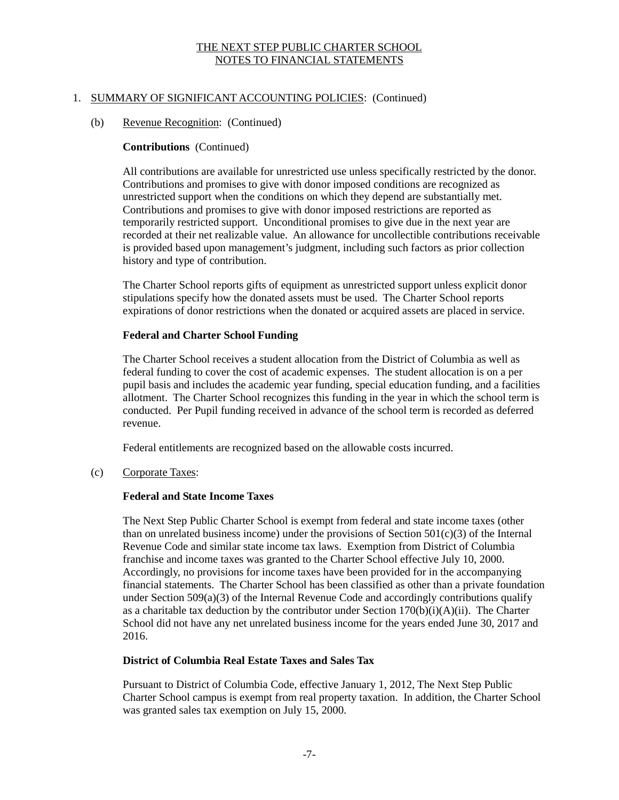## 1. SUMMARY OF SIGNIFICANT ACCOUNTING POLICIES: (Continued)

## (b) Revenue Recognition: (Continued)

## **Contributions** (Continued)

All contributions are available for unrestricted use unless specifically restricted by the donor. Contributions and promises to give with donor imposed conditions are recognized as unrestricted support when the conditions on which they depend are substantially met. Contributions and promises to give with donor imposed restrictions are reported as temporarily restricted support. Unconditional promises to give due in the next year are recorded at their net realizable value. An allowance for uncollectible contributions receivable is provided based upon management's judgment, including such factors as prior collection history and type of contribution.

The Charter School reports gifts of equipment as unrestricted support unless explicit donor stipulations specify how the donated assets must be used. The Charter School reports expirations of donor restrictions when the donated or acquired assets are placed in service.

#### **Federal and Charter School Funding**

The Charter School receives a student allocation from the District of Columbia as well as federal funding to cover the cost of academic expenses. The student allocation is on a per pupil basis and includes the academic year funding, special education funding, and a facilities allotment. The Charter School recognizes this funding in the year in which the school term is conducted. Per Pupil funding received in advance of the school term is recorded as deferred revenue.

Federal entitlements are recognized based on the allowable costs incurred.

## (c) Corporate Taxes:

#### **Federal and State Income Taxes**

The Next Step Public Charter School is exempt from federal and state income taxes (other than on unrelated business income) under the provisions of Section  $501(c)(3)$  of the Internal Revenue Code and similar state income tax laws. Exemption from District of Columbia franchise and income taxes was granted to the Charter School effective July 10, 2000. Accordingly, no provisions for income taxes have been provided for in the accompanying financial statements. The Charter School has been classified as other than a private foundation under Section  $509(a)(3)$  of the Internal Revenue Code and accordingly contributions qualify as a charitable tax deduction by the contributor under Section  $170(b)(i)(A)(ii)$ . The Charter School did not have any net unrelated business income for the years ended June 30, 2017 and 2016.

#### **District of Columbia Real Estate Taxes and Sales Tax**

Pursuant to District of Columbia Code, effective January 1, 2012, The Next Step Public Charter School campus is exempt from real property taxation. In addition, the Charter School was granted sales tax exemption on July 15, 2000.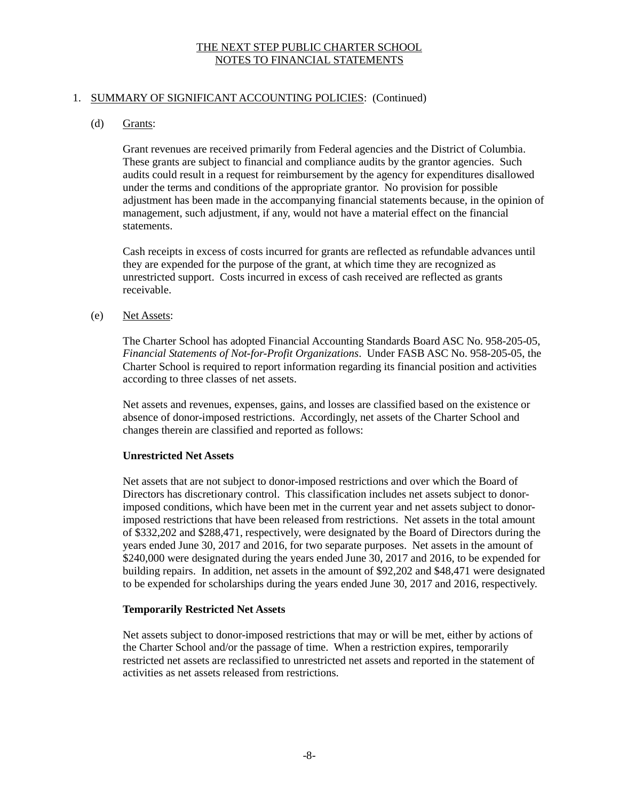## 1. SUMMARY OF SIGNIFICANT ACCOUNTING POLICIES: (Continued)

#### (d) Grants:

Grant revenues are received primarily from Federal agencies and the District of Columbia. These grants are subject to financial and compliance audits by the grantor agencies. Such audits could result in a request for reimbursement by the agency for expenditures disallowed under the terms and conditions of the appropriate grantor. No provision for possible adjustment has been made in the accompanying financial statements because, in the opinion of management, such adjustment, if any, would not have a material effect on the financial statements.

Cash receipts in excess of costs incurred for grants are reflected as refundable advances until they are expended for the purpose of the grant, at which time they are recognized as unrestricted support. Costs incurred in excess of cash received are reflected as grants receivable.

#### (e) Net Assets:

The Charter School has adopted Financial Accounting Standards Board ASC No. 958-205-05, *Financial Statements of Not-for-Profit Organizations*. Under FASB ASC No. 958-205-05, the Charter School is required to report information regarding its financial position and activities according to three classes of net assets.

Net assets and revenues, expenses, gains, and losses are classified based on the existence or absence of donor-imposed restrictions. Accordingly, net assets of the Charter School and changes therein are classified and reported as follows:

#### **Unrestricted Net Assets**

Net assets that are not subject to donor-imposed restrictions and over which the Board of Directors has discretionary control. This classification includes net assets subject to donorimposed conditions, which have been met in the current year and net assets subject to donorimposed restrictions that have been released from restrictions. Net assets in the total amount of \$332,202 and \$288,471, respectively, were designated by the Board of Directors during the years ended June 30, 2017 and 2016, for two separate purposes. Net assets in the amount of \$240,000 were designated during the years ended June 30, 2017 and 2016, to be expended for building repairs. In addition, net assets in the amount of \$92,202 and \$48,471 were designated to be expended for scholarships during the years ended June 30, 2017 and 2016, respectively.

#### **Temporarily Restricted Net Assets**

Net assets subject to donor-imposed restrictions that may or will be met, either by actions of the Charter School and/or the passage of time. When a restriction expires, temporarily restricted net assets are reclassified to unrestricted net assets and reported in the statement of activities as net assets released from restrictions.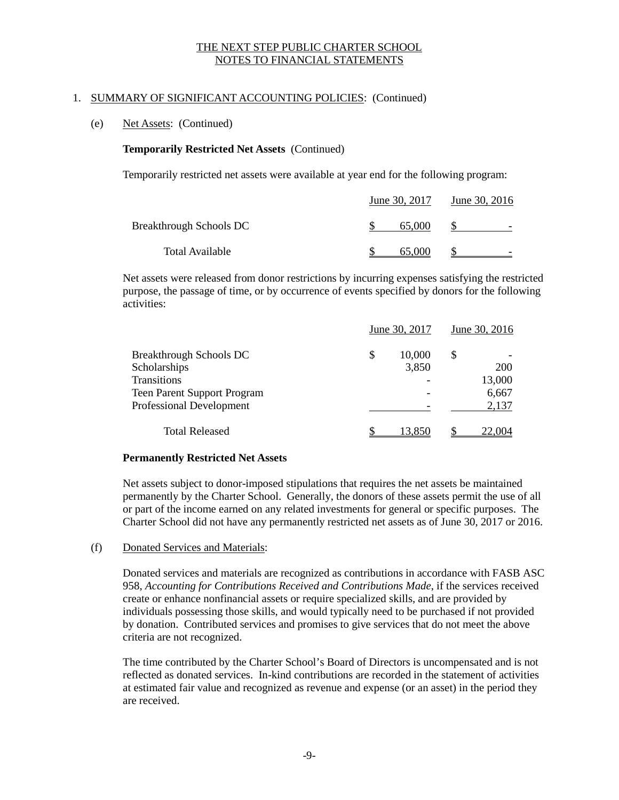## 1. SUMMARY OF SIGNIFICANT ACCOUNTING POLICIES: (Continued)

(e) Net Assets: (Continued)

#### **Temporarily Restricted Net Assets** (Continued)

Temporarily restricted net assets were available at year end for the following program:

|                         | June 30, 2017 | June 30, 2016 |                          |  |
|-------------------------|---------------|---------------|--------------------------|--|
| Breakthrough Schools DC | 65.000        |               | $\overline{\phantom{0}}$ |  |
| Total Available         | 65,000        |               | -                        |  |

Net assets were released from donor restrictions by incurring expenses satisfying the restricted purpose, the passage of time, or by occurrence of events specified by donors for the following activities:

|                                    | June 30, 2017 |        | June 30, 2016 |        |
|------------------------------------|---------------|--------|---------------|--------|
| Breakthrough Schools DC            | \$            | 10,000 | \$            |        |
| Scholarships                       |               | 3,850  |               | 200    |
| Transitions                        |               |        |               | 13,000 |
| <b>Teen Parent Support Program</b> |               |        |               | 6,667  |
| Professional Development           |               |        |               | 2,137  |
| <b>Total Released</b>              |               | 13.850 |               | 22.004 |

#### **Permanently Restricted Net Assets**

Net assets subject to donor-imposed stipulations that requires the net assets be maintained permanently by the Charter School. Generally, the donors of these assets permit the use of all or part of the income earned on any related investments for general or specific purposes. The Charter School did not have any permanently restricted net assets as of June 30, 2017 or 2016.

#### (f) Donated Services and Materials:

Donated services and materials are recognized as contributions in accordance with FASB ASC 958, *Accounting for Contributions Received and Contributions Made*, if the services received create or enhance nonfinancial assets or require specialized skills, and are provided by individuals possessing those skills, and would typically need to be purchased if not provided by donation. Contributed services and promises to give services that do not meet the above criteria are not recognized.

The time contributed by the Charter School's Board of Directors is uncompensated and is not reflected as donated services. In-kind contributions are recorded in the statement of activities at estimated fair value and recognized as revenue and expense (or an asset) in the period they are received.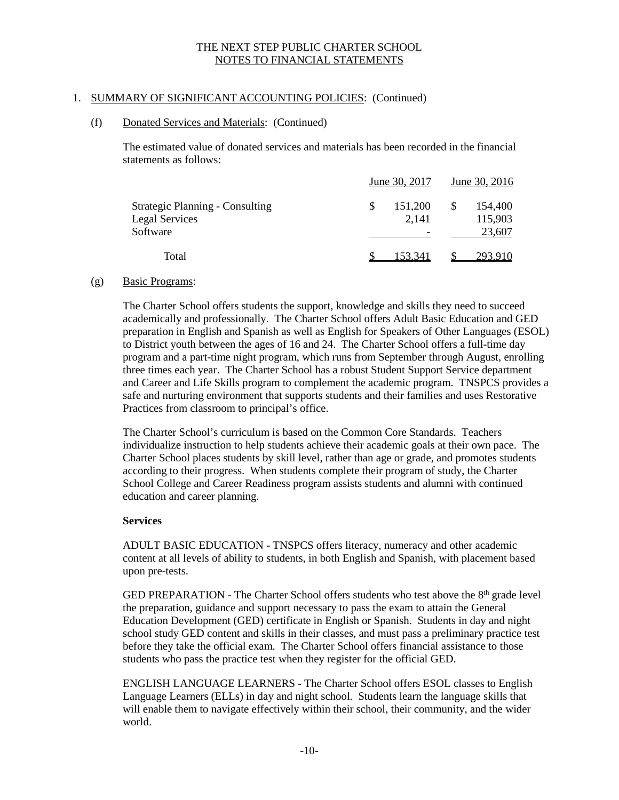## 1. SUMMARY OF SIGNIFICANT ACCOUNTING POLICIES: (Continued)

#### (f) Donated Services and Materials: (Continued)

The estimated value of donated services and materials has been recorded in the financial statements as follows:

|                                                                             | June 30, 2017    | June 30, 2016                |
|-----------------------------------------------------------------------------|------------------|------------------------------|
| <b>Strategic Planning - Consulting</b><br><b>Legal Services</b><br>Software | 151,200<br>2,141 | 154,400<br>115,903<br>23,607 |
| Total                                                                       | 153.341          | 293.910                      |

#### (g) Basic Programs:

The Charter School offers students the support, knowledge and skills they need to succeed academically and professionally. The Charter School offers Adult Basic Education and GED preparation in English and Spanish as well as English for Speakers of Other Languages (ESOL) to District youth between the ages of 16 and 24. The Charter School offers a full-time day program and a part-time night program, which runs from September through August, enrolling three times each year. The Charter School has a robust Student Support Service department and Career and Life Skills program to complement the academic program. TNSPCS provides a safe and nurturing environment that supports students and their families and uses Restorative Practices from classroom to principal's office.

The Charter School's curriculum is based on the Common Core Standards. Teachers individualize instruction to help students achieve their academic goals at their own pace. The Charter School places students by skill level, rather than age or grade, and promotes students according to their progress. When students complete their program of study, the Charter School College and Career Readiness program assists students and alumni with continued education and career planning.

#### **Services**

ADULT BASIC EDUCATION - TNSPCS offers literacy, numeracy and other academic content at all levels of ability to students, in both English and Spanish, with placement based upon pre-tests.

GED PREPARATION - The Charter School offers students who test above the  $8<sup>th</sup>$  grade level the preparation, guidance and support necessary to pass the exam to attain the General Education Development (GED) certificate in English or Spanish. Students in day and night school study GED content and skills in their classes, and must pass a preliminary practice test before they take the official exam. The Charter School offers financial assistance to those students who pass the practice test when they register for the official GED.

ENGLISH LANGUAGE LEARNERS - The Charter School offers ESOL classes to English Language Learners (ELLs) in day and night school. Students learn the language skills that will enable them to navigate effectively within their school, their community, and the wider world.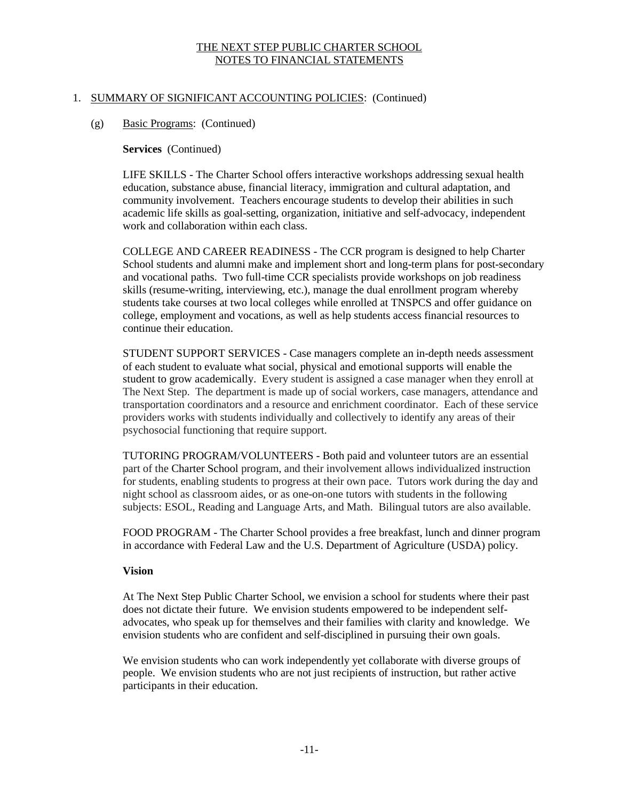## 1. SUMMARY OF SIGNIFICANT ACCOUNTING POLICIES: (Continued)

#### (g) Basic Programs: (Continued)

#### **Services** (Continued)

LIFE SKILLS - The Charter School offers interactive workshops addressing sexual health education, substance abuse, financial literacy, immigration and cultural adaptation, and community involvement. Teachers encourage students to develop their abilities in such academic life skills as goal-setting, organization, initiative and self-advocacy, independent work and collaboration within each class.

COLLEGE AND CAREER READINESS - The CCR program is designed to help Charter School students and alumni make and implement short and long-term plans for post-secondary and vocational paths. Two full-time CCR specialists provide workshops on job readiness skills (resume-writing, interviewing, etc.), manage the dual enrollment program whereby students take courses at two local colleges while enrolled at TNSPCS and offer guidance on college, employment and vocations, as well as help students access financial resources to continue their education.

STUDENT SUPPORT SERVICES - Case managers complete an in-depth needs assessment of each student to evaluate what social, physical and emotional supports will enable the student to grow academically. Every student is assigned a case manager when they enroll at The Next Step. The department is made up of social workers, case managers, attendance and transportation coordinators and a resource and enrichment coordinator. Each of these service providers works with students individually and collectively to identify any areas of their psychosocial functioning that require support.

TUTORING PROGRAM/VOLUNTEERS - Both paid and volunteer tutors are an essential part of the Charter School program, and their involvement allows individualized instruction for students, enabling students to progress at their own pace. Tutors work during the day and night school as classroom aides, or as one-on-one tutors with students in the following subjects: ESOL, Reading and Language Arts, and Math. Bilingual tutors are also available.

FOOD PROGRAM - The Charter School provides a free breakfast, lunch and dinner program in accordance with Federal Law and the U.S. Department of Agriculture (USDA) policy.

#### **Vision**

At The Next Step Public Charter School, we envision a school for students where their past does not dictate their future. We envision students empowered to be independent selfadvocates, who speak up for themselves and their families with clarity and knowledge. We envision students who are confident and self-disciplined in pursuing their own goals.

We envision students who can work independently yet collaborate with diverse groups of people. We envision students who are not just recipients of instruction, but rather active participants in their education.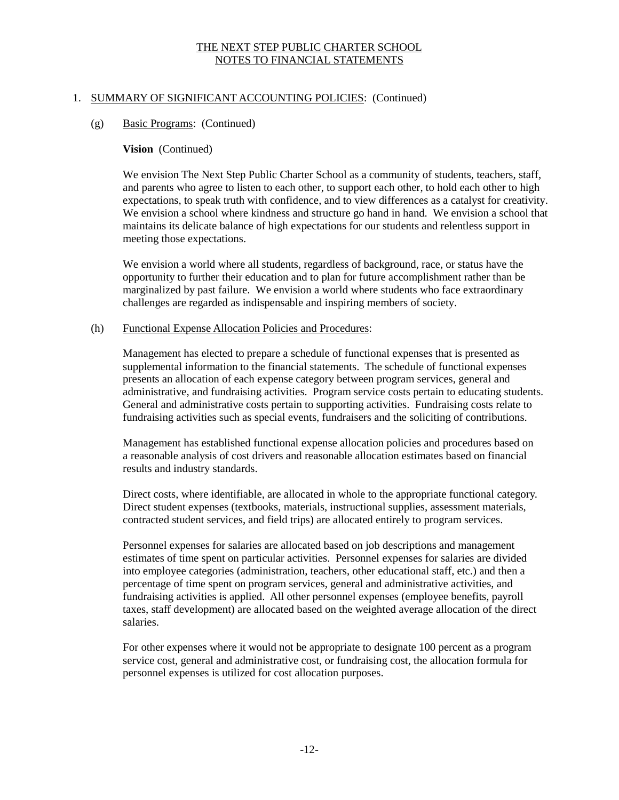## 1. SUMMARY OF SIGNIFICANT ACCOUNTING POLICIES: (Continued)

#### (g) Basic Programs: (Continued)

#### **Vision** (Continued)

We envision The Next Step Public Charter School as a community of students, teachers, staff, and parents who agree to listen to each other, to support each other, to hold each other to high expectations, to speak truth with confidence, and to view differences as a catalyst for creativity. We envision a school where kindness and structure go hand in hand. We envision a school that maintains its delicate balance of high expectations for our students and relentless support in meeting those expectations.

We envision a world where all students, regardless of background, race, or status have the opportunity to further their education and to plan for future accomplishment rather than be marginalized by past failure. We envision a world where students who face extraordinary challenges are regarded as indispensable and inspiring members of society.

## (h) Functional Expense Allocation Policies and Procedures:

Management has elected to prepare a schedule of functional expenses that is presented as supplemental information to the financial statements. The schedule of functional expenses presents an allocation of each expense category between program services, general and administrative, and fundraising activities. Program service costs pertain to educating students. General and administrative costs pertain to supporting activities. Fundraising costs relate to fundraising activities such as special events, fundraisers and the soliciting of contributions.

Management has established functional expense allocation policies and procedures based on a reasonable analysis of cost drivers and reasonable allocation estimates based on financial results and industry standards.

Direct costs, where identifiable, are allocated in whole to the appropriate functional category. Direct student expenses (textbooks, materials, instructional supplies, assessment materials, contracted student services, and field trips) are allocated entirely to program services.

Personnel expenses for salaries are allocated based on job descriptions and management estimates of time spent on particular activities. Personnel expenses for salaries are divided into employee categories (administration, teachers, other educational staff, etc.) and then a percentage of time spent on program services, general and administrative activities, and fundraising activities is applied. All other personnel expenses (employee benefits, payroll taxes, staff development) are allocated based on the weighted average allocation of the direct salaries.

For other expenses where it would not be appropriate to designate 100 percent as a program service cost, general and administrative cost, or fundraising cost, the allocation formula for personnel expenses is utilized for cost allocation purposes.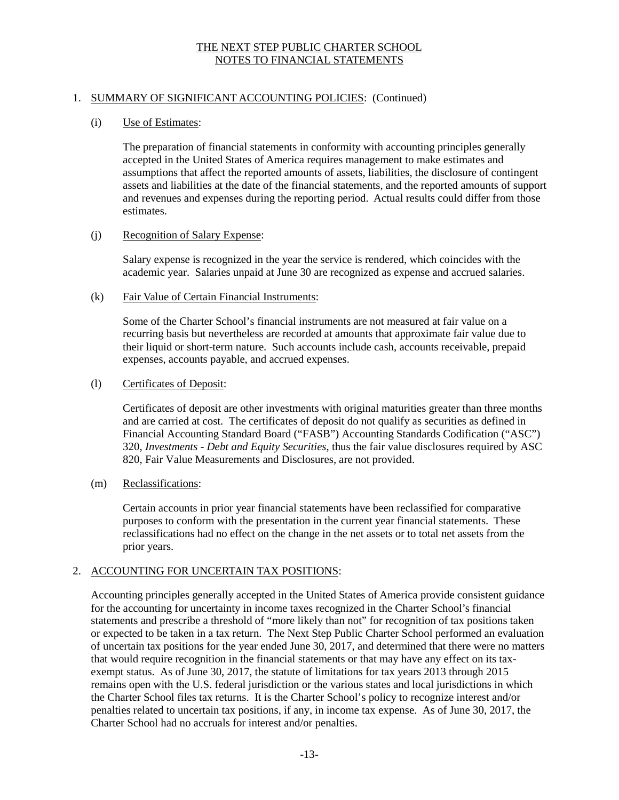## 1. SUMMARY OF SIGNIFICANT ACCOUNTING POLICIES: (Continued)

## (i) Use of Estimates:

The preparation of financial statements in conformity with accounting principles generally accepted in the United States of America requires management to make estimates and assumptions that affect the reported amounts of assets, liabilities, the disclosure of contingent assets and liabilities at the date of the financial statements, and the reported amounts of support and revenues and expenses during the reporting period. Actual results could differ from those estimates.

#### (j) Recognition of Salary Expense:

Salary expense is recognized in the year the service is rendered, which coincides with the academic year. Salaries unpaid at June 30 are recognized as expense and accrued salaries.

#### (k) Fair Value of Certain Financial Instruments:

Some of the Charter School's financial instruments are not measured at fair value on a recurring basis but nevertheless are recorded at amounts that approximate fair value due to their liquid or short-term nature. Such accounts include cash, accounts receivable, prepaid expenses, accounts payable, and accrued expenses.

#### (l) Certificates of Deposit:

Certificates of deposit are other investments with original maturities greater than three months and are carried at cost. The certificates of deposit do not qualify as securities as defined in Financial Accounting Standard Board ("FASB") Accounting Standards Codification ("ASC") 320, *Investments - Debt and Equity Securities*, thus the fair value disclosures required by ASC 820, Fair Value Measurements and Disclosures, are not provided.

#### (m) Reclassifications:

Certain accounts in prior year financial statements have been reclassified for comparative purposes to conform with the presentation in the current year financial statements. These reclassifications had no effect on the change in the net assets or to total net assets from the prior years.

#### 2. ACCOUNTING FOR UNCERTAIN TAX POSITIONS:

Accounting principles generally accepted in the United States of America provide consistent guidance for the accounting for uncertainty in income taxes recognized in the Charter School's financial statements and prescribe a threshold of "more likely than not" for recognition of tax positions taken or expected to be taken in a tax return. The Next Step Public Charter School performed an evaluation of uncertain tax positions for the year ended June 30, 2017, and determined that there were no matters that would require recognition in the financial statements or that may have any effect on its taxexempt status. As of June 30, 2017, the statute of limitations for tax years 2013 through 2015 remains open with the U.S. federal jurisdiction or the various states and local jurisdictions in which the Charter School files tax returns. It is the Charter School's policy to recognize interest and/or penalties related to uncertain tax positions, if any, in income tax expense. As of June 30, 2017, the Charter School had no accruals for interest and/or penalties.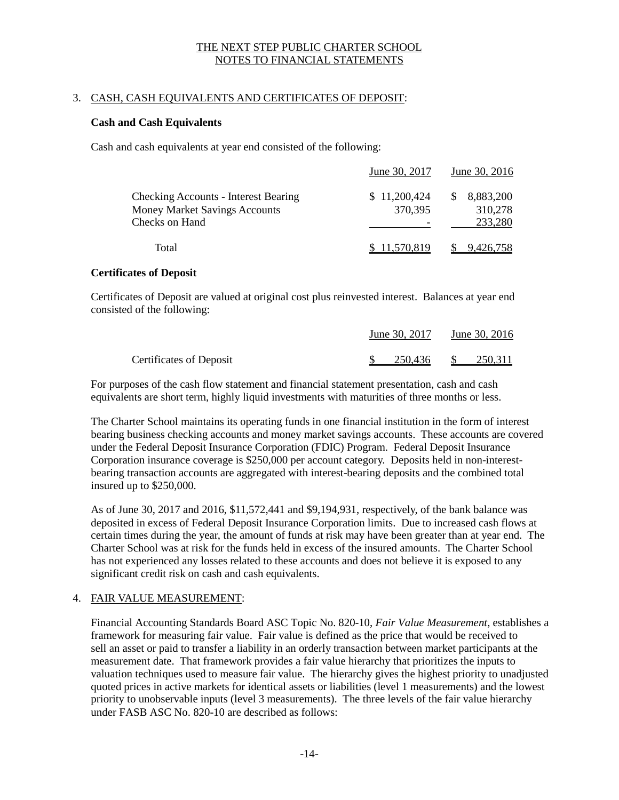## 3. CASH, CASH EQUIVALENTS AND CERTIFICATES OF DEPOSIT:

## **Cash and Cash Equivalents**

Cash and cash equivalents at year end consisted of the following:

|                                                                                                | June 30, 2017           | June 30, 2016                   |
|------------------------------------------------------------------------------------------------|-------------------------|---------------------------------|
| <b>Checking Accounts - Interest Bearing</b><br>Money Market Savings Accounts<br>Checks on Hand | \$11,200,424<br>370,395 | 8,883,200<br>310,278<br>233,280 |
| Total                                                                                          | 11,570,819              | 9,426,758                       |

## **Certificates of Deposit**

Certificates of Deposit are valued at original cost plus reinvested interest. Balances at year end consisted of the following:

|                                |  |                     | June 30, 2017 June 30, 2016 |                      |
|--------------------------------|--|---------------------|-----------------------------|----------------------|
| <b>Certificates of Deposit</b> |  | $\frac{$}{250,436}$ |                             | $\frac{\$}{250,311}$ |

For purposes of the cash flow statement and financial statement presentation, cash and cash equivalents are short term, highly liquid investments with maturities of three months or less.

The Charter School maintains its operating funds in one financial institution in the form of interest bearing business checking accounts and money market savings accounts. These accounts are covered under the Federal Deposit Insurance Corporation (FDIC) Program. Federal Deposit Insurance Corporation insurance coverage is \$250,000 per account category. Deposits held in non-interestbearing transaction accounts are aggregated with interest-bearing deposits and the combined total insured up to \$250,000.

As of June 30, 2017 and 2016, \$11,572,441 and \$9,194,931, respectively, of the bank balance was deposited in excess of Federal Deposit Insurance Corporation limits. Due to increased cash flows at certain times during the year, the amount of funds at risk may have been greater than at year end. The Charter School was at risk for the funds held in excess of the insured amounts. The Charter School has not experienced any losses related to these accounts and does not believe it is exposed to any significant credit risk on cash and cash equivalents.

## 4. FAIR VALUE MEASUREMENT:

Financial Accounting Standards Board ASC Topic No. 820-10, *Fair Value Measurement*, establishes a framework for measuring fair value. Fair value is defined as the price that would be received to sell an asset or paid to transfer a liability in an orderly transaction between market participants at the measurement date. That framework provides a fair value hierarchy that prioritizes the inputs to valuation techniques used to measure fair value. The hierarchy gives the highest priority to unadjusted quoted prices in active markets for identical assets or liabilities (level 1 measurements) and the lowest priority to unobservable inputs (level 3 measurements). The three levels of the fair value hierarchy under FASB ASC No. 820-10 are described as follows: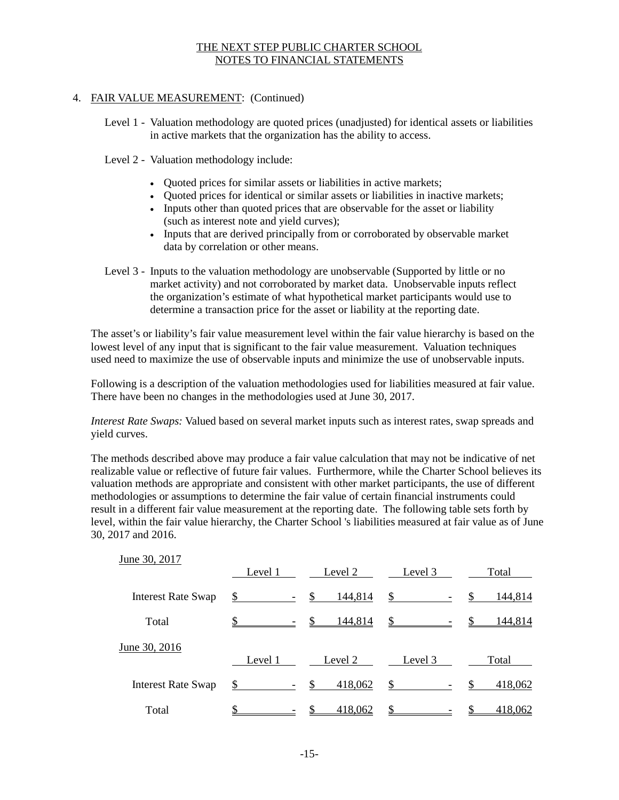## 4. FAIR VALUE MEASUREMENT: (Continued)

- Level 1 Valuation methodology are quoted prices (unadjusted) for identical assets or liabilities in active markets that the organization has the ability to access.
- Level 2 Valuation methodology include:
	- Quoted prices for similar assets or liabilities in active markets;
	- Quoted prices for identical or similar assets or liabilities in inactive markets;
	- Inputs other than quoted prices that are observable for the asset or liability (such as interest note and yield curves);
	- Inputs that are derived principally from or corroborated by observable market data by correlation or other means.
- Level 3 Inputs to the valuation methodology are unobservable (Supported by little or no market activity) and not corroborated by market data. Unobservable inputs reflect the organization's estimate of what hypothetical market participants would use to determine a transaction price for the asset or liability at the reporting date.

The asset's or liability's fair value measurement level within the fair value hierarchy is based on the lowest level of any input that is significant to the fair value measurement. Valuation techniques used need to maximize the use of observable inputs and minimize the use of unobservable inputs.

Following is a description of the valuation methodologies used for liabilities measured at fair value. There have been no changes in the methodologies used at June 30, 2017.

*Interest Rate Swaps:* Valued based on several market inputs such as interest rates, swap spreads and yield curves.

The methods described above may produce a fair value calculation that may not be indicative of net realizable value or reflective of future fair values. Furthermore, while the Charter School believes its valuation methods are appropriate and consistent with other market participants, the use of different methodologies or assumptions to determine the fair value of certain financial instruments could result in a different fair value measurement at the reporting date. The following table sets forth by level, within the fair value hierarchy, the Charter School 's liabilities measured at fair value as of June 30, 2017 and 2016.

| June 30, 2017             |         |                         |                |               |
|---------------------------|---------|-------------------------|----------------|---------------|
|                           | Level 1 | Level 2                 | Level 3        | Total         |
| <b>Interest Rate Swap</b> | \$      | \$<br>144,814           | $\frac{1}{2}$  | 144,814       |
| Total                     |         | $\mathbb{S}$<br>144,814 | $\mathbb{S}^-$ | 144,814       |
| <u>June 30, 2016</u>      | Level 1 | Level 2                 | Level 3        | Total         |
| <b>Interest Rate Swap</b> | \$      | \$<br>418,062           | \$             | 418,062<br>\$ |
| Total                     |         | 418,062                 |                | 418,062       |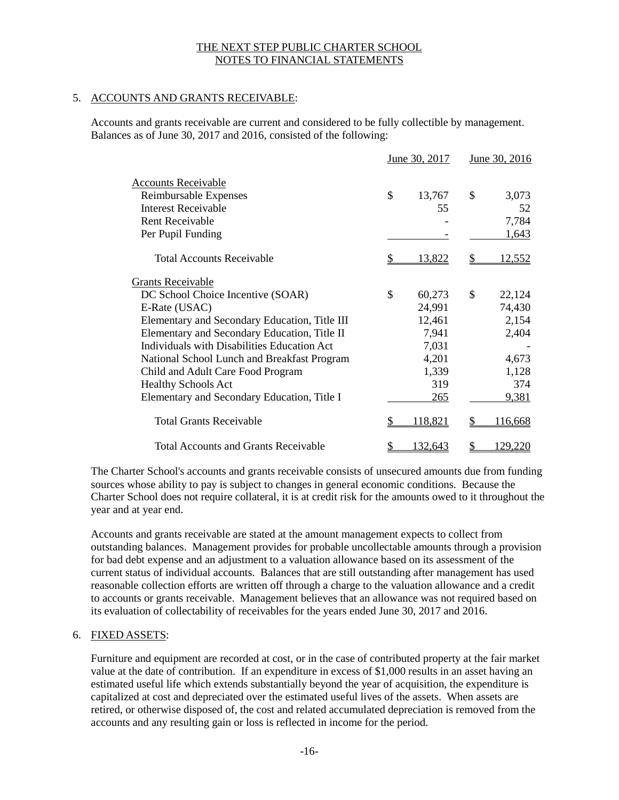## 5. ACCOUNTS AND GRANTS RECEIVABLE:

Accounts and grants receivable are current and considered to be fully collectible by management. Balances as of June 30, 2017 and 2016, consisted of the following:

|                                                                                                                                  | June 30, 2017        | June 30, 2016 |                               |
|----------------------------------------------------------------------------------------------------------------------------------|----------------------|---------------|-------------------------------|
| <b>Accounts Receivable</b><br>Reimbursable Expenses<br><b>Interest Receivable</b><br><b>Rent Receivable</b><br>Per Pupil Funding | \$<br>13,767<br>55   | \$            | 3,073<br>52<br>7,784<br>1,643 |
| <b>Total Accounts Receivable</b>                                                                                                 | \$<br>13,822         | \$            | <u>12,552</u>                 |
| <b>Grants Receivable</b>                                                                                                         |                      |               |                               |
| DC School Choice Incentive (SOAR)                                                                                                | \$<br>60,273         | \$            | 22,124                        |
| E-Rate (USAC)                                                                                                                    | 24,991               |               | 74,430                        |
| Elementary and Secondary Education, Title III                                                                                    | 12,461               |               | 2,154                         |
| Elementary and Secondary Education, Title II                                                                                     | 7,941                |               | 2,404                         |
| Individuals with Disabilities Education Act                                                                                      | 7,031                |               |                               |
| National School Lunch and Breakfast Program                                                                                      | 4,201                |               | 4,673                         |
| Child and Adult Care Food Program                                                                                                | 1,339                |               | 1,128                         |
| <b>Healthy Schools Act</b>                                                                                                       | 319                  |               | 374                           |
| Elementary and Secondary Education, Title I                                                                                      | 265                  |               | 9,381                         |
| <b>Total Grants Receivable</b>                                                                                                   | 118,821              |               | <u>116,668</u>                |
| <b>Total Accounts and Grants Receivable</b>                                                                                      | \$<br><u>132,643</u> |               | <u>129,220</u>                |

The Charter School's accounts and grants receivable consists of unsecured amounts due from funding sources whose ability to pay is subject to changes in general economic conditions. Because the Charter School does not require collateral, it is at credit risk for the amounts owed to it throughout the year and at year end.

Accounts and grants receivable are stated at the amount management expects to collect from outstanding balances. Management provides for probable uncollectable amounts through a provision for bad debt expense and an adjustment to a valuation allowance based on its assessment of the current status of individual accounts. Balances that are still outstanding after management has used reasonable collection efforts are written off through a charge to the valuation allowance and a credit to accounts or grants receivable. Management believes that an allowance was not required based on its evaluation of collectability of receivables for the years ended June 30, 2017 and 2016.

#### 6. FIXED ASSETS:

Furniture and equipment are recorded at cost, or in the case of contributed property at the fair market value at the date of contribution. If an expenditure in excess of \$1,000 results in an asset having an estimated useful life which extends substantially beyond the year of acquisition, the expenditure is capitalized at cost and depreciated over the estimated useful lives of the assets. When assets are retired, or otherwise disposed of, the cost and related accumulated depreciation is removed from the accounts and any resulting gain or loss is reflected in income for the period.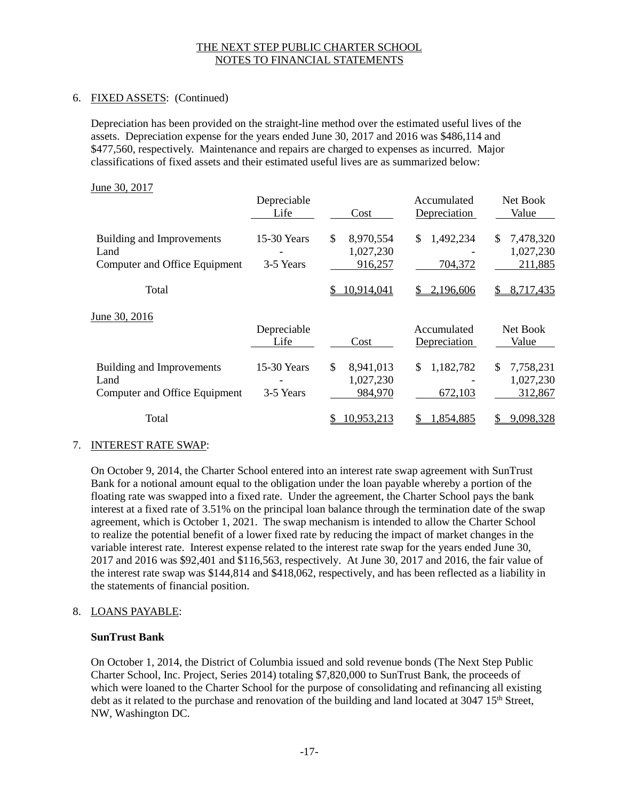## 6. FIXED ASSETS: (Continued)

Depreciation has been provided on the straight-line method over the estimated useful lives of the assets. Depreciation expense for the years ended June 30, 2017 and 2016 was \$486,114 and \$477,560, respectively. Maintenance and repairs are charged to expenses as incurred. Major classifications of fixed assets and their estimated useful lives are as summarized below:

#### June 30, 2017

|                                                                    | Depreciable<br>Life      | Cost                                    | Accumulated<br>Depreciation | Net Book<br>Value                       |
|--------------------------------------------------------------------|--------------------------|-----------------------------------------|-----------------------------|-----------------------------------------|
| Building and Improvements<br>Land<br>Computer and Office Equipment | 15-30 Years<br>3-5 Years | 8,970,554<br>\$<br>1,027,230<br>916,257 | \$<br>1,492,234<br>704,372  | 7,478,320<br>\$<br>1,027,230<br>211,885 |
| Total                                                              |                          | 10,914,041                              | 2,196,606<br>S.             | 8,717,435<br>S                          |
| June 30, 2016                                                      | Depreciable<br>Life      | Cost                                    | Accumulated<br>Depreciation | Net Book<br>Value                       |
| Building and Improvements<br>Land<br>Computer and Office Equipment | 15-30 Years<br>3-5 Years | \$<br>8,941,013<br>1,027,230<br>984,970 | \$<br>1,182,782<br>672,103  | 7,758,231<br>\$<br>1,027,230<br>312,867 |
| Total                                                              |                          | 10,953,213                              | 1,854,885                   | 9,098,328                               |

## 7. INTEREST RATE SWAP:

On October 9, 2014, the Charter School entered into an interest rate swap agreement with SunTrust Bank for a notional amount equal to the obligation under the loan payable whereby a portion of the floating rate was swapped into a fixed rate. Under the agreement, the Charter School pays the bank interest at a fixed rate of 3.51% on the principal loan balance through the termination date of the swap agreement, which is October 1, 2021. The swap mechanism is intended to allow the Charter School to realize the potential benefit of a lower fixed rate by reducing the impact of market changes in the variable interest rate. Interest expense related to the interest rate swap for the years ended June 30, 2017 and 2016 was \$92,401 and \$116,563, respectively. At June 30, 2017 and 2016, the fair value of the interest rate swap was \$144,814 and \$418,062, respectively, and has been reflected as a liability in the statements of financial position.

#### 8. LOANS PAYABLE:

#### **SunTrust Bank**

On October 1, 2014, the District of Columbia issued and sold revenue bonds (The Next Step Public Charter School, Inc. Project, Series 2014) totaling \$7,820,000 to SunTrust Bank, the proceeds of which were loaned to the Charter School for the purpose of consolidating and refinancing all existing debt as it related to the purchase and renovation of the building and land located at 3047 15<sup>th</sup> Street, NW, Washington DC.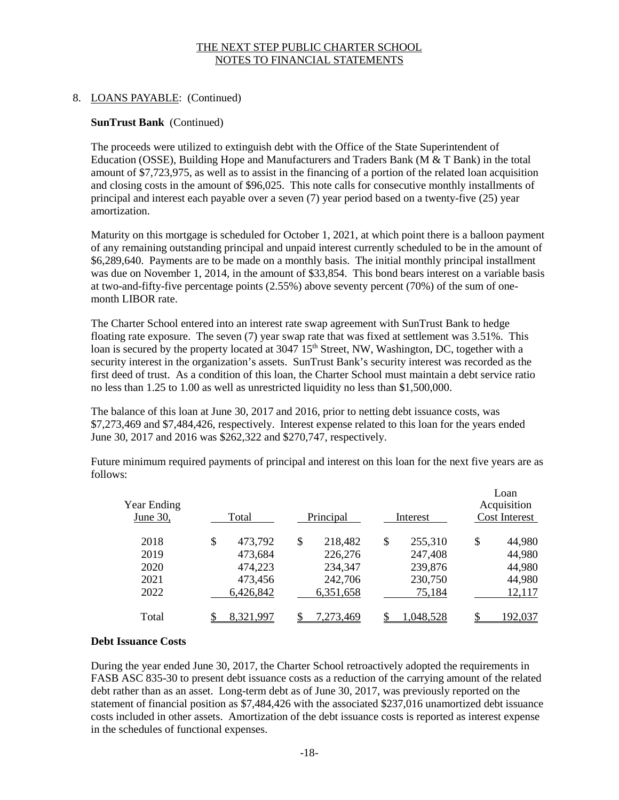## 8. LOANS PAYABLE: (Continued)

#### **SunTrust Bank** (Continued)

The proceeds were utilized to extinguish debt with the Office of the State Superintendent of Education (OSSE), Building Hope and Manufacturers and Traders Bank ( $M \& T$  Bank) in the total amount of \$7,723,975, as well as to assist in the financing of a portion of the related loan acquisition and closing costs in the amount of \$96,025. This note calls for consecutive monthly installments of principal and interest each payable over a seven (7) year period based on a twenty-five (25) year amortization.

Maturity on this mortgage is scheduled for October 1, 2021, at which point there is a balloon payment of any remaining outstanding principal and unpaid interest currently scheduled to be in the amount of \$6,289,640. Payments are to be made on a monthly basis. The initial monthly principal installment was due on November 1, 2014, in the amount of \$33,854. This bond bears interest on a variable basis at two-and-fifty-five percentage points (2.55%) above seventy percent (70%) of the sum of onemonth LIBOR rate.

The Charter School entered into an interest rate swap agreement with SunTrust Bank to hedge floating rate exposure. The seven (7) year swap rate that was fixed at settlement was 3.51%. This loan is secured by the property located at 3047 15<sup>th</sup> Street, NW, Washington, DC, together with a security interest in the organization's assets. SunTrust Bank's security interest was recorded as the first deed of trust. As a condition of this loan, the Charter School must maintain a debt service ratio no less than 1.25 to 1.00 as well as unrestricted liquidity no less than \$1,500,000.

The balance of this loan at June 30, 2017 and 2016, prior to netting debt issuance costs, was \$7,273,469 and \$7,484,426, respectively. Interest expense related to this loan for the years ended June 30, 2017 and 2016 was \$262,322 and \$270,747, respectively.

Future minimum required payments of principal and interest on this loan for the next five years are as follows:

| Year Ending<br>June 30, |    | Total     | Principal     | Interest      | Loan<br>Acquisition<br>Cost Interest |         |  |
|-------------------------|----|-----------|---------------|---------------|--------------------------------------|---------|--|
| 2018                    | \$ | 473,792   | \$<br>218,482 | \$<br>255,310 | \$                                   | 44,980  |  |
| 2019                    |    | 473,684   | 226,276       | 247,408       |                                      | 44,980  |  |
| 2020                    |    | 474,223   | 234,347       | 239,876       |                                      | 44,980  |  |
| 2021                    |    | 473,456   | 242,706       | 230,750       |                                      | 44,980  |  |
| 2022                    |    | 6,426,842 | 6,351,658     | 75,184        |                                      | 12,117  |  |
| Total                   | ¢  | 8,321,997 | 7,273,469     | 1,048,528     |                                      | 192,037 |  |

#### **Debt Issuance Costs**

During the year ended June 30, 2017, the Charter School retroactively adopted the requirements in FASB ASC 835-30 to present debt issuance costs as a reduction of the carrying amount of the related debt rather than as an asset. Long-term debt as of June 30, 2017, was previously reported on the statement of financial position as \$7,484,426 with the associated \$237,016 unamortized debt issuance costs included in other assets. Amortization of the debt issuance costs is reported as interest expense in the schedules of functional expenses.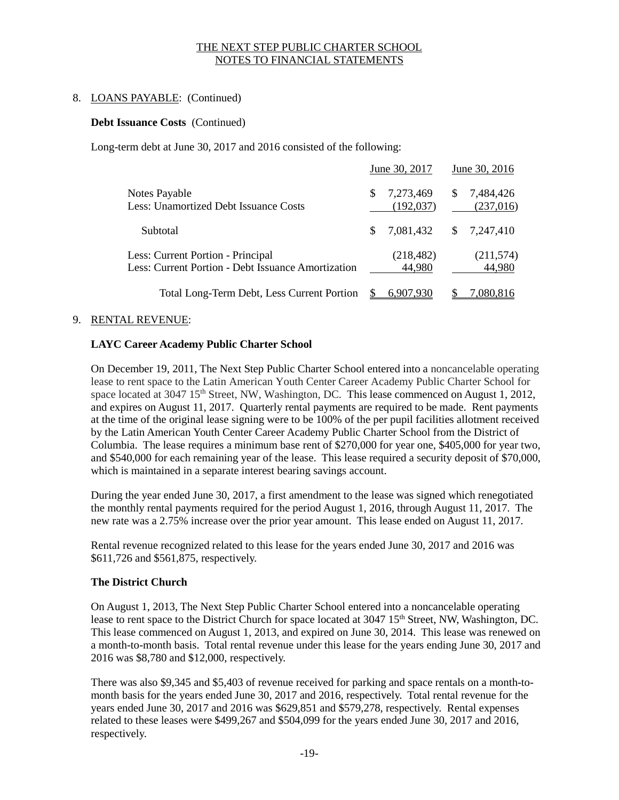## 8. LOANS PAYABLE: (Continued)

## **Debt Issuance Costs** (Continued)

Long-term debt at June 30, 2017 and 2016 consisted of the following:

|                                                                                         |    | June 30, 2017           | June 30, 2016 |                        |  |
|-----------------------------------------------------------------------------------------|----|-------------------------|---------------|------------------------|--|
| Notes Payable<br>Less: Unamortized Debt Issuance Costs                                  | S. | 7,273,469<br>(192, 037) | \$.           | 7,484,426<br>(237,016) |  |
| Subtotal                                                                                | S. | 7,081,432               | \$.           | 7,247,410              |  |
| Less: Current Portion - Principal<br>Less: Current Portion - Debt Issuance Amortization |    | (218, 482)<br>44.980    |               | (211,574)<br>44,980    |  |
| Total Long-Term Debt, Less Current Portion                                              |    | 6.907.930               |               |                        |  |

## 9. RENTAL REVENUE:

## **LAYC Career Academy Public Charter School**

On December 19, 2011, The Next Step Public Charter School entered into a noncancelable operating lease to rent space to the Latin American Youth Center Career Academy Public Charter School for space located at 3047 15<sup>th</sup> Street, NW, Washington, DC. This lease commenced on August 1, 2012, and expires on August 11, 2017. Quarterly rental payments are required to be made. Rent payments at the time of the original lease signing were to be 100% of the per pupil facilities allotment received by the Latin American Youth Center Career Academy Public Charter School from the District of Columbia. The lease requires a minimum base rent of \$270,000 for year one, \$405,000 for year two, and \$540,000 for each remaining year of the lease. This lease required a security deposit of \$70,000, which is maintained in a separate interest bearing savings account.

During the year ended June 30, 2017, a first amendment to the lease was signed which renegotiated the monthly rental payments required for the period August 1, 2016, through August 11, 2017. The new rate was a 2.75% increase over the prior year amount. This lease ended on August 11, 2017.

Rental revenue recognized related to this lease for the years ended June 30, 2017 and 2016 was \$611,726 and \$561,875, respectively.

## **The District Church**

On August 1, 2013, The Next Step Public Charter School entered into a noncancelable operating lease to rent space to the District Church for space located at 3047 15<sup>th</sup> Street, NW, Washington, DC. This lease commenced on August 1, 2013, and expired on June 30, 2014. This lease was renewed on a month-to-month basis. Total rental revenue under this lease for the years ending June 30, 2017 and 2016 was \$8,780 and \$12,000, respectively.

There was also \$9,345 and \$5,403 of revenue received for parking and space rentals on a month-tomonth basis for the years ended June 30, 2017 and 2016, respectively. Total rental revenue for the years ended June 30, 2017 and 2016 was \$629,851 and \$579,278, respectively. Rental expenses related to these leases were \$499,267 and \$504,099 for the years ended June 30, 2017 and 2016, respectively.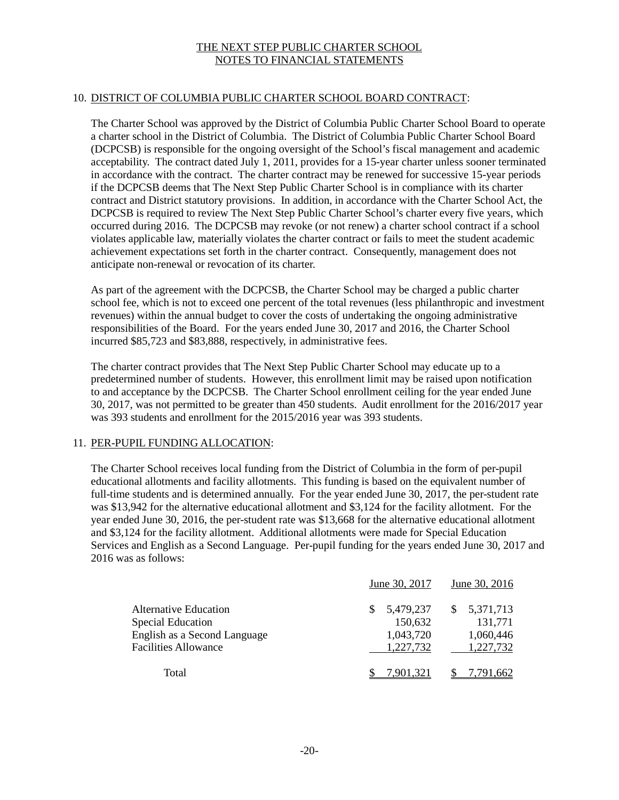## 10. DISTRICT OF COLUMBIA PUBLIC CHARTER SCHOOL BOARD CONTRACT:

The Charter School was approved by the District of Columbia Public Charter School Board to operate a charter school in the District of Columbia. The District of Columbia Public Charter School Board (DCPCSB) is responsible for the ongoing oversight of the School's fiscal management and academic acceptability. The contract dated July 1, 2011, provides for a 15-year charter unless sooner terminated in accordance with the contract. The charter contract may be renewed for successive 15-year periods if the DCPCSB deems that The Next Step Public Charter School is in compliance with its charter contract and District statutory provisions. In addition, in accordance with the Charter School Act, the DCPCSB is required to review The Next Step Public Charter School's charter every five years, which occurred during 2016. The DCPCSB may revoke (or not renew) a charter school contract if a school violates applicable law, materially violates the charter contract or fails to meet the student academic achievement expectations set forth in the charter contract. Consequently, management does not anticipate non-renewal or revocation of its charter.

As part of the agreement with the DCPCSB, the Charter School may be charged a public charter school fee, which is not to exceed one percent of the total revenues (less philanthropic and investment revenues) within the annual budget to cover the costs of undertaking the ongoing administrative responsibilities of the Board. For the years ended June 30, 2017 and 2016, the Charter School incurred \$85,723 and \$83,888, respectively, in administrative fees.

The charter contract provides that The Next Step Public Charter School may educate up to a predetermined number of students. However, this enrollment limit may be raised upon notification to and acceptance by the DCPCSB. The Charter School enrollment ceiling for the year ended June 30, 2017, was not permitted to be greater than 450 students. Audit enrollment for the 2016/2017 year was 393 students and enrollment for the 2015/2016 year was 393 students.

#### 11. PER-PUPIL FUNDING ALLOCATION:

The Charter School receives local funding from the District of Columbia in the form of per-pupil educational allotments and facility allotments. This funding is based on the equivalent number of full-time students and is determined annually. For the year ended June 30, 2017, the per-student rate was \$13,942 for the alternative educational allotment and \$3,124 for the facility allotment. For the year ended June 30, 2016, the per-student rate was \$13,668 for the alternative educational allotment and \$3,124 for the facility allotment. Additional allotments were made for Special Education Services and English as a Second Language. Per-pupil funding for the years ended June 30, 2017 and 2016 was as follows:

|                                                                                                                         | June 30, 2017 |                                                |  | June 30, 2016                                  |  |  |
|-------------------------------------------------------------------------------------------------------------------------|---------------|------------------------------------------------|--|------------------------------------------------|--|--|
| <b>Alternative Education</b><br><b>Special Education</b><br>English as a Second Language<br><b>Facilities Allowance</b> | S             | 5,479,237<br>150,632<br>1,043,720<br>1,227,732 |  | 5,371,713<br>131,771<br>1,060,446<br>1,227,732 |  |  |
| Total                                                                                                                   |               |                                                |  |                                                |  |  |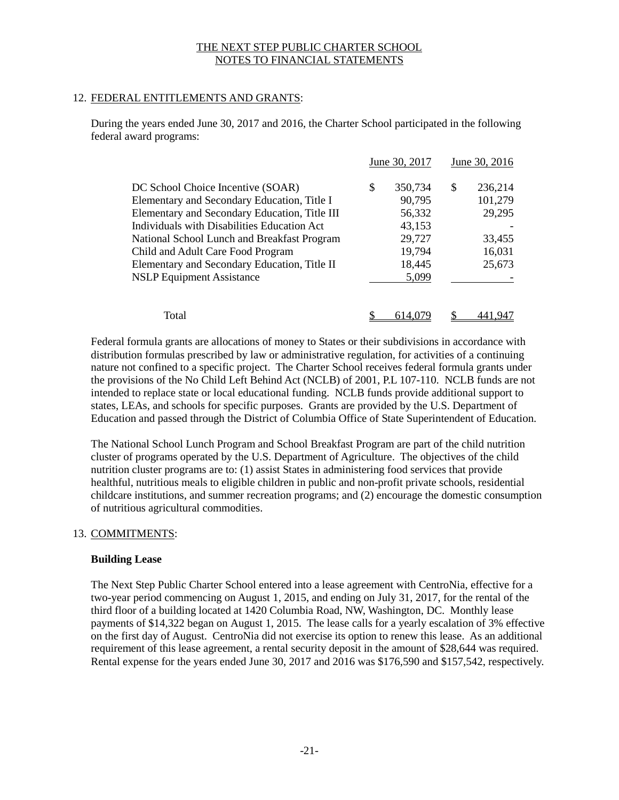## 12. FEDERAL ENTITLEMENTS AND GRANTS:

During the years ended June 30, 2017 and 2016, the Charter School participated in the following federal award programs:

|                                               | June 30, 2017 | June 30, 2016 |
|-----------------------------------------------|---------------|---------------|
| DC School Choice Incentive (SOAR)             | \$<br>350,734 | \$<br>236,214 |
| Elementary and Secondary Education, Title I   | 90,795        | 101,279       |
| Elementary and Secondary Education, Title III | 56,332        | 29,295        |
| Individuals with Disabilities Education Act   | 43,153        |               |
| National School Lunch and Breakfast Program   | 29,727        | 33,455        |
| Child and Adult Care Food Program             | 19,794        | 16,031        |
| Elementary and Secondary Education, Title II  | 18,445        | 25,673        |
| <b>NSLP Equipment Assistance</b>              | 5,099         |               |
| Total                                         | 614.079       | 441.947       |

Federal formula grants are allocations of money to States or their subdivisions in accordance with distribution formulas prescribed by law or administrative regulation, for activities of a continuing nature not confined to a specific project. The Charter School receives federal formula grants under the provisions of the No Child Left Behind Act (NCLB) of 2001, P.L 107-110. NCLB funds are not intended to replace state or local educational funding. NCLB funds provide additional support to states, LEAs, and schools for specific purposes. Grants are provided by the U.S. Department of Education and passed through the District of Columbia Office of State Superintendent of Education.

The National School Lunch Program and School Breakfast Program are part of the child nutrition cluster of programs operated by the U.S. Department of Agriculture. The objectives of the child nutrition cluster programs are to: (1) assist States in administering food services that provide healthful, nutritious meals to eligible children in public and non-profit private schools, residential childcare institutions, and summer recreation programs; and (2) encourage the domestic consumption of nutritious agricultural commodities.

## 13. COMMITMENTS:

#### **Building Lease**

The Next Step Public Charter School entered into a lease agreement with CentroNia, effective for a two-year period commencing on August 1, 2015, and ending on July 31, 2017, for the rental of the third floor of a building located at 1420 Columbia Road, NW, Washington, DC. Monthly lease payments of \$14,322 began on August 1, 2015. The lease calls for a yearly escalation of 3% effective on the first day of August. CentroNia did not exercise its option to renew this lease. As an additional requirement of this lease agreement, a rental security deposit in the amount of \$28,644 was required. Rental expense for the years ended June 30, 2017 and 2016 was \$176,590 and \$157,542, respectively.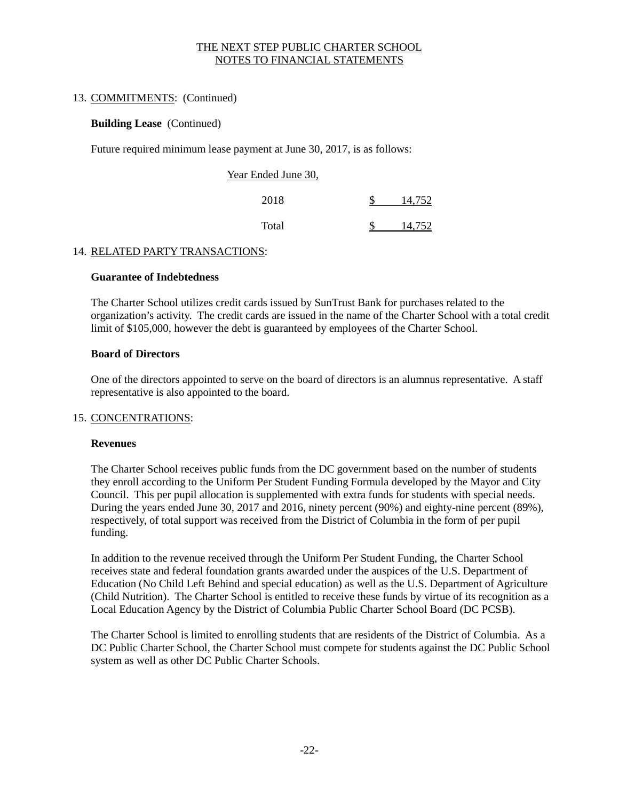## 13. COMMITMENTS: (Continued)

## **Building Lease** (Continued)

Future required minimum lease payment at June 30, 2017, is as follows:

## Year Ended June 30,

| 2018  | 14.752 |
|-------|--------|
| Total | 14,752 |

#### 14. RELATED PARTY TRANSACTIONS:

#### **Guarantee of Indebtedness**

The Charter School utilizes credit cards issued by SunTrust Bank for purchases related to the organization's activity. The credit cards are issued in the name of the Charter School with a total credit limit of \$105,000, however the debt is guaranteed by employees of the Charter School.

#### **Board of Directors**

One of the directors appointed to serve on the board of directors is an alumnus representative. A staff representative is also appointed to the board.

#### 15. CONCENTRATIONS:

#### **Revenues**

The Charter School receives public funds from the DC government based on the number of students they enroll according to the Uniform Per Student Funding Formula developed by the Mayor and City Council. This per pupil allocation is supplemented with extra funds for students with special needs. During the years ended June 30, 2017 and 2016, ninety percent (90%) and eighty-nine percent (89%), respectively, of total support was received from the District of Columbia in the form of per pupil funding.

In addition to the revenue received through the Uniform Per Student Funding, the Charter School receives state and federal foundation grants awarded under the auspices of the U.S. Department of Education (No Child Left Behind and special education) as well as the U.S. Department of Agriculture (Child Nutrition). The Charter School is entitled to receive these funds by virtue of its recognition as a Local Education Agency by the District of Columbia Public Charter School Board (DC PCSB).

The Charter School is limited to enrolling students that are residents of the District of Columbia. As a DC Public Charter School, the Charter School must compete for students against the DC Public School system as well as other DC Public Charter Schools.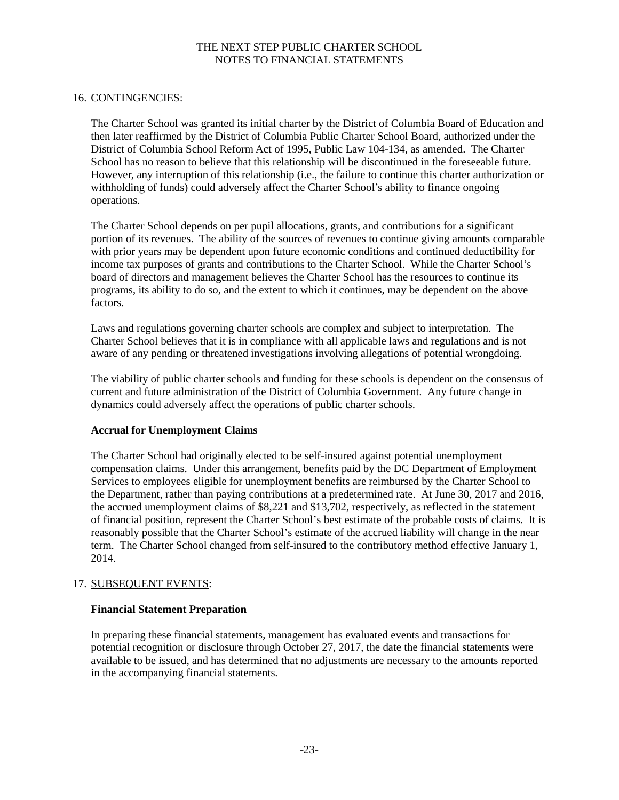#### 16. CONTINGENCIES:

The Charter School was granted its initial charter by the District of Columbia Board of Education and then later reaffirmed by the District of Columbia Public Charter School Board, authorized under the District of Columbia School Reform Act of 1995, Public Law 104-134, as amended. The Charter School has no reason to believe that this relationship will be discontinued in the foreseeable future. However, any interruption of this relationship (i.e., the failure to continue this charter authorization or withholding of funds) could adversely affect the Charter School's ability to finance ongoing operations.

The Charter School depends on per pupil allocations, grants, and contributions for a significant portion of its revenues. The ability of the sources of revenues to continue giving amounts comparable with prior years may be dependent upon future economic conditions and continued deductibility for income tax purposes of grants and contributions to the Charter School. While the Charter School's board of directors and management believes the Charter School has the resources to continue its programs, its ability to do so, and the extent to which it continues, may be dependent on the above factors.

Laws and regulations governing charter schools are complex and subject to interpretation. The Charter School believes that it is in compliance with all applicable laws and regulations and is not aware of any pending or threatened investigations involving allegations of potential wrongdoing.

The viability of public charter schools and funding for these schools is dependent on the consensus of current and future administration of the District of Columbia Government. Any future change in dynamics could adversely affect the operations of public charter schools.

## **Accrual for Unemployment Claims**

The Charter School had originally elected to be self-insured against potential unemployment compensation claims. Under this arrangement, benefits paid by the DC Department of Employment Services to employees eligible for unemployment benefits are reimbursed by the Charter School to the Department, rather than paying contributions at a predetermined rate. At June 30, 2017 and 2016, the accrued unemployment claims of \$8,221 and \$13,702, respectively, as reflected in the statement of financial position, represent the Charter School's best estimate of the probable costs of claims. It is reasonably possible that the Charter School's estimate of the accrued liability will change in the near term. The Charter School changed from self-insured to the contributory method effective January 1, 2014.

#### 17. SUBSEQUENT EVENTS:

#### **Financial Statement Preparation**

In preparing these financial statements, management has evaluated events and transactions for potential recognition or disclosure through October 27, 2017, the date the financial statements were available to be issued, and has determined that no adjustments are necessary to the amounts reported in the accompanying financial statements.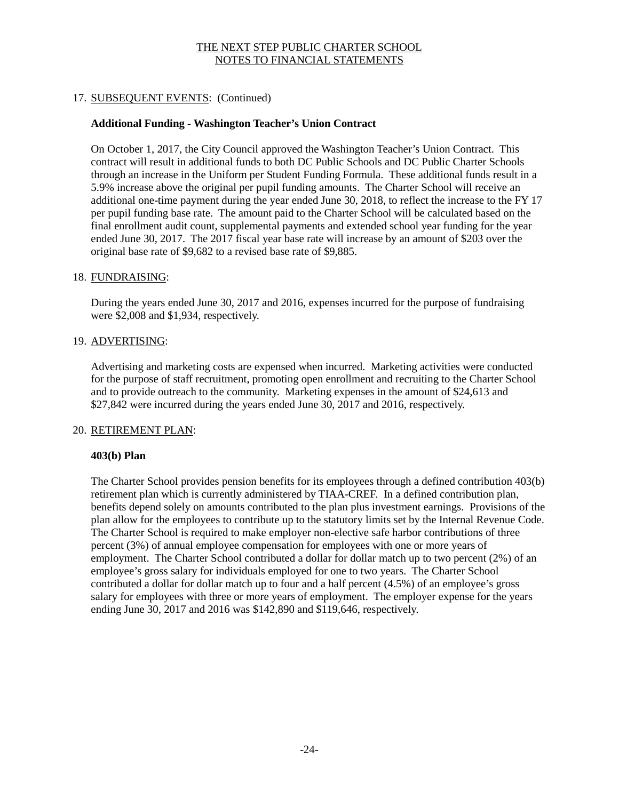## 17. SUBSEQUENT EVENTS: (Continued)

## **Additional Funding - Washington Teacher's Union Contract**

On October 1, 2017, the City Council approved the Washington Teacher's Union Contract. This contract will result in additional funds to both DC Public Schools and DC Public Charter Schools through an increase in the Uniform per Student Funding Formula. These additional funds result in a 5.9% increase above the original per pupil funding amounts. The Charter School will receive an additional one-time payment during the year ended June 30, 2018, to reflect the increase to the FY 17 per pupil funding base rate. The amount paid to the Charter School will be calculated based on the final enrollment audit count, supplemental payments and extended school year funding for the year ended June 30, 2017. The 2017 fiscal year base rate will increase by an amount of \$203 over the original base rate of \$9,682 to a revised base rate of \$9,885.

#### 18. FUNDRAISING:

During the years ended June 30, 2017 and 2016, expenses incurred for the purpose of fundraising were \$2,008 and \$1,934, respectively.

#### 19. ADVERTISING:

Advertising and marketing costs are expensed when incurred. Marketing activities were conducted for the purpose of staff recruitment, promoting open enrollment and recruiting to the Charter School and to provide outreach to the community. Marketing expenses in the amount of \$24,613 and \$27,842 were incurred during the years ended June 30, 2017 and 2016, respectively.

#### 20. RETIREMENT PLAN:

#### **403(b) Plan**

The Charter School provides pension benefits for its employees through a defined contribution 403(b) retirement plan which is currently administered by TIAA-CREF. In a defined contribution plan, benefits depend solely on amounts contributed to the plan plus investment earnings. Provisions of the plan allow for the employees to contribute up to the statutory limits set by the Internal Revenue Code. The Charter School is required to make employer non-elective safe harbor contributions of three percent (3%) of annual employee compensation for employees with one or more years of employment. The Charter School contributed a dollar for dollar match up to two percent (2%) of an employee's gross salary for individuals employed for one to two years. The Charter School contributed a dollar for dollar match up to four and a half percent (4.5%) of an employee's gross salary for employees with three or more years of employment. The employer expense for the years ending June 30, 2017 and 2016 was \$142,890 and \$119,646, respectively.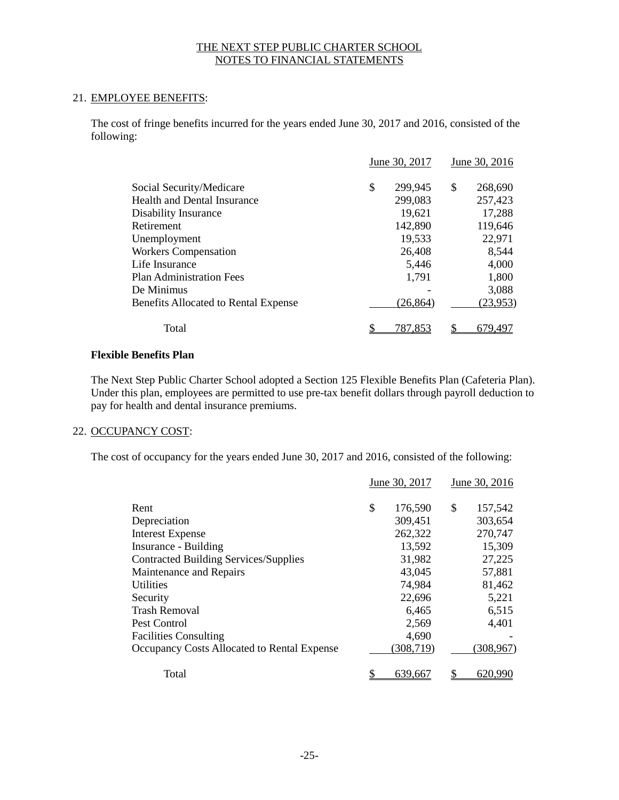#### 21. EMPLOYEE BENEFITS:

The cost of fringe benefits incurred for the years ended June 30, 2017 and 2016, consisted of the following:

|                                             | June 30, 2017 |          | June 30, 2016 |
|---------------------------------------------|---------------|----------|---------------|
| Social Security/Medicare                    | \$            | 299,945  | \$<br>268,690 |
| <b>Health and Dental Insurance</b>          |               | 299,083  | 257,423       |
| Disability Insurance                        |               | 19,621   | 17,288        |
| Retirement                                  |               | 142,890  | 119,646       |
| Unemployment                                |               | 19,533   | 22,971        |
| <b>Workers Compensation</b>                 |               | 26,408   | 8,544         |
| Life Insurance                              |               | 5,446    | 4,000         |
| <b>Plan Administration Fees</b>             |               | 1,791    | 1,800         |
| De Minimus                                  |               |          | 3,088         |
| <b>Benefits Allocated to Rental Expense</b> |               | (26,864) | (23, 953)     |
| Total                                       |               | 787.853  | 679,497       |

#### **Flexible Benefits Plan**

The Next Step Public Charter School adopted a Section 125 Flexible Benefits Plan (Cafeteria Plan). Under this plan, employees are permitted to use pre-tax benefit dollars through payroll deduction to pay for health and dental insurance premiums.

#### 22. OCCUPANCY COST:

The cost of occupancy for the years ended June 30, 2017 and 2016, consisted of the following:

|                                              | June 30, 2017 |            | June 30, 2016 |
|----------------------------------------------|---------------|------------|---------------|
| Rent                                         | \$            | 176,590    | \$<br>157,542 |
| Depreciation                                 |               | 309,451    | 303,654       |
| <b>Interest Expense</b>                      |               | 262,322    | 270,747       |
| Insurance - Building                         |               | 13,592     | 15,309        |
| <b>Contracted Building Services/Supplies</b> |               | 31,982     | 27,225        |
| Maintenance and Repairs                      |               | 43,045     | 57,881        |
| <b>Utilities</b>                             |               | 74,984     | 81,462        |
| Security                                     |               | 22,696     | 5,221         |
| <b>Trash Removal</b>                         |               | 6,465      | 6,515         |
| Pest Control                                 |               | 2,569      | 4,401         |
| <b>Facilities Consulting</b>                 |               | 4,690      |               |
| Occupancy Costs Allocated to Rental Expense  |               | (308, 719) | (308, 967)    |
| Total                                        |               | 639,667    | 620.99        |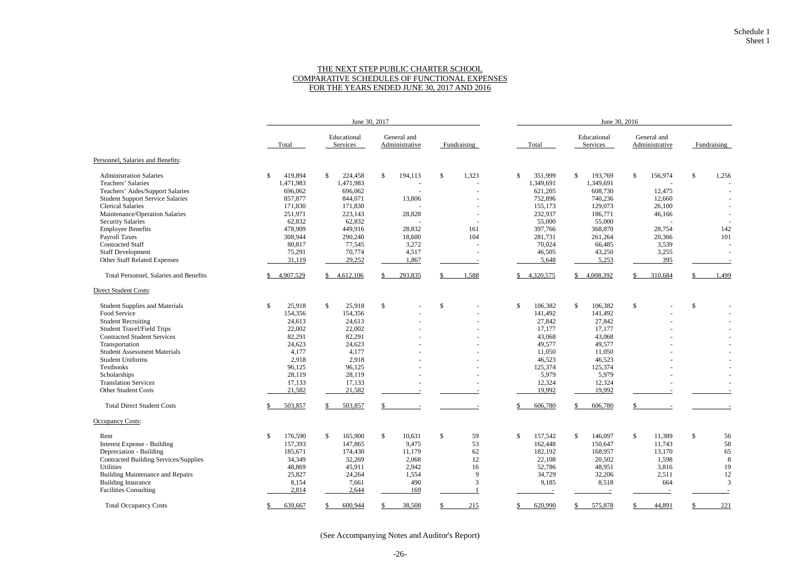## THE NEXT STEP PUBLIC CHARTER SCHOOL COMPARATIVE SCHEDULES OF FUNCTIONAL EXPENSES FOR THE YEARS ENDED JUNE 30, 2017 AND 2016

|                                              | June 30, 2017 |                          |                               |                          | June 30, 2016            |                         |                               |                       |
|----------------------------------------------|---------------|--------------------------|-------------------------------|--------------------------|--------------------------|-------------------------|-------------------------------|-----------------------|
|                                              | Total         | Educational<br>Services  | General and<br>Administrative | Fundraising              | Total                    | Educational<br>Services | General and<br>Administrative | Fundraising           |
| Personnel, Salaries and Benefits:            |               |                          |                               |                          |                          |                         |                               |                       |
| <b>Administration Salaries</b>               | \$<br>419,894 | \$<br>224,458            | \$<br>194,113                 | 1,323<br>\$              | \$<br>351,999            | \$<br>193,769           | \$<br>156,974                 | $\mathbb{S}$<br>1,256 |
| Teachers' Salaries                           | 1,471,983     | 1,471,983                |                               |                          | 1,349,691                | 1,349,691               |                               |                       |
| Teachers' Aides/Support Salaries             | 696,062       | 696,062                  |                               |                          | 621,205                  | 608,730                 | 12,475                        |                       |
| <b>Student Support Service Salaries</b>      | 857,877       | 844,071                  | 13,806                        |                          | 752,896                  | 740,236                 | 12,660                        |                       |
| <b>Clerical Salaries</b>                     | 171,830       | 171,830                  |                               |                          | 155,173                  | 129,073                 | 26,100                        |                       |
| Maintenance/Operation Salaries               | 251,971       | 223,143                  | 28,828                        |                          | 232,937                  | 186,771                 | 46,166                        |                       |
| <b>Security Salaries</b>                     | 62,832        | 62,832                   |                               |                          | 55,000                   | 55,000                  |                               |                       |
| <b>Employee Benefits</b>                     | 478,909       | 449,916                  | 28,832                        | 161                      | 397,766                  | 368,870                 | 28,754                        | 142                   |
| Payroll Taxes                                | 308,944       | 290,240                  | 18,600                        | 104                      | 281,731                  | 261,264                 | 20,366                        | 101                   |
| <b>Contracted Staff</b>                      | 80,817        | 77,545                   | 3,272                         | $\overline{\phantom{a}}$ | 70,024                   | 66,485                  | 3,539                         |                       |
| <b>Staff Development</b>                     | 75,291        | 70,774                   | 4,517                         |                          | 46,505                   | 43,250                  | 3,255                         |                       |
| Other Staff Related Expenses                 | 31,119        | 29,252                   | 1,867                         | $\overline{\phantom{a}}$ | 5,648                    | 5,253                   | 395                           |                       |
| Total Personnel, Salaries and Benefits       | 4,907,529     | \$4,612,106              | 293,835                       | 1,588<br>\$.             | 4,320,575<br>\$.         | \$4,008,392             | 310,684                       | 1,499                 |
| Direct Student Costs:                        |               |                          |                               |                          |                          |                         |                               |                       |
| <b>Student Supplies and Materials</b>        | \$<br>25,918  | \$<br>25,918             | \$                            | \$<br>$\overline{a}$     | $\mathbb{S}$<br>106,382  | \$<br>106,382           | $\mathbb{S}$                  | \$                    |
| Food Service                                 | 154,356       | 154,356                  |                               |                          | 141,492                  | 141,492                 |                               |                       |
| <b>Student Recruiting</b>                    | 24,613        | 24,613                   |                               |                          | 27,842                   | 27,842                  |                               |                       |
| <b>Student Travel/Field Trips</b>            | 22,002        | 22,002                   |                               |                          | 17,177                   | 17,177                  |                               |                       |
| <b>Contracted Student Services</b>           | 82,291        | 82,291                   |                               |                          | 43,068                   | 43,068                  |                               |                       |
| Transportation                               | 24,623        | 24,623                   |                               |                          | 49,577                   | 49,577                  |                               |                       |
| <b>Student Assessment Materials</b>          | 4,177         | 4,177                    |                               |                          | 11,050                   | 11,050                  |                               |                       |
| <b>Student Uniforms</b>                      | 2,918         | 2,918                    |                               |                          | 46,523                   | 46,523                  |                               |                       |
| Textbooks                                    | 96,125        | 96,125                   |                               |                          | 125,374                  | 125,374                 |                               |                       |
| Scholarships                                 | 28,119        | 28,119                   |                               |                          | 5,979                    | 5,979                   |                               |                       |
| <b>Translation Services</b>                  | 17,133        | 17,133                   |                               |                          | 12,324                   | 12,324                  |                               |                       |
| Other Student Costs                          | 21,582        | 21,582                   |                               |                          | 19,992                   | 19,992                  |                               |                       |
| <b>Total Direct Student Costs</b>            | 503,857       | 503,857                  |                               |                          | 606,780                  | 606,780                 |                               |                       |
| <b>Occupancy Costs:</b>                      |               |                          |                               |                          |                          |                         |                               |                       |
| Rent                                         | 176,590<br>£. | <sup>\$</sup><br>165,900 | \$<br>10,631                  | \$<br>59                 | 157,542<br><sup>\$</sup> | \$<br>146,097           | 11,389<br><sup>\$</sup>       | \$<br>56              |
| Interest Expense - Building                  | 157,393       | 147,865                  | 9,475                         | 53                       | 162,448                  | 150,647                 | 11,743                        | 58                    |
| Depreciation - Building                      | 185,671       | 174,430                  | 11,179                        | 62                       | 182,192                  | 168,957                 | 13,170                        | 65                    |
| <b>Contracted Building Services/Supplies</b> | 34,349        | 32,269                   | 2,068                         | $12\,$                   | 22,108                   | 20,502                  | 1,598                         | 8                     |
| Utilities                                    | 48,869        | 45,911                   | 2,942                         | 16                       | 52,786                   | 48,951                  | 3,816                         | 19                    |
| <b>Building Maintenance and Repairs</b>      | 25,827        | 24,264                   | 1,554                         | 9                        | 34,729                   | 32,206                  | 2,511                         | 12                    |
| <b>Building Insurance</b>                    | 8,154         | 7,661                    | 490                           | 3                        | 9,185                    | 8,518                   | 664                           | 3                     |
| <b>Facilities Consulting</b>                 | 2,814         | 2,644                    | 169                           |                          |                          |                         |                               |                       |
| <b>Total Occupancy Costs</b>                 | 639,667       | 600,944                  | 38,508                        | 215                      | 620,990                  | 575,878                 | 44,891                        | 221                   |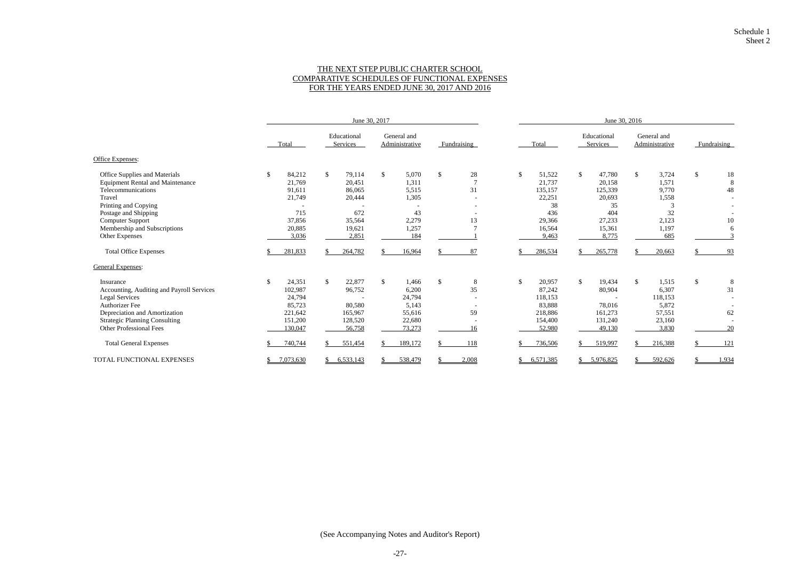## THE NEXT STEP PUBLIC CHARTER SCHOOL COMPARATIVE SCHEDULES OF FUNCTIONAL EXPENSES FOR THE YEARS ENDED JUNE 30, 2017 AND 2016

|                                           |              | June 30, 2017           |                               |                    |                         | June 30, 2016           |                               |                          |  |
|-------------------------------------------|--------------|-------------------------|-------------------------------|--------------------|-------------------------|-------------------------|-------------------------------|--------------------------|--|
|                                           | Total        | Educational<br>Services | General and<br>Administrative | Fundraising        | Total                   | Educational<br>Services | General and<br>Administrative | Fundraising              |  |
| Office Expenses:                          |              |                         |                               |                    |                         |                         |                               |                          |  |
| Office Supplies and Materials             | S.<br>84,212 | \$<br>79,114            | \$.<br>5,070                  | $\mathbb{S}$<br>28 | 51,522<br><sup>\$</sup> | $\mathcal{S}$<br>47,780 | $\mathbb{S}$<br>3,724         | \$<br>18                 |  |
| <b>Equipment Rental and Maintenance</b>   | 21,769       | 20,451                  | 1,311                         | $\overline{7}$     | 21,737                  | 20,158                  | 1,571                         | 8                        |  |
| Telecommunications                        | 91,611       | 86,065                  | 5,515                         | 31                 | 135,157                 | 125,339                 | 9,770                         | 48                       |  |
| Travel                                    | 21,749       | 20,444                  | 1,305                         |                    | 22,251                  | 20,693                  | 1,558                         |                          |  |
| Printing and Copying                      |              |                         |                               |                    | 38                      | 35                      | 3                             | $\overline{\phantom{a}}$ |  |
| Postage and Shipping                      | 715          | 672                     | 43                            |                    | 436                     | 404                     | 32                            |                          |  |
| <b>Computer Support</b>                   | 37,856       | 35,564                  | 2,279                         | 13                 | 29,366                  | 27,233                  | 2,123                         | 10                       |  |
| Membership and Subscriptions              | 20,885       | 19,621                  | 1,257                         |                    | 16,564                  | 15,361                  | 1,197                         | 6                        |  |
| Other Expenses                            | 3,036        | 2,851                   | 184                           |                    | 9,463                   | 8,775                   | 685                           |                          |  |
| <b>Total Office Expenses</b>              | 281,833      | 264,782                 | 16,964                        | 87                 | 286,534                 | 265,778<br>\$           | 20,663                        | 93                       |  |
| General Expenses:                         |              |                         |                               |                    |                         |                         |                               |                          |  |
| Insurance                                 | \$<br>24,351 | \$<br>22,877            | \$.<br>1,466                  | $\mathbb{S}$<br>8  | \$<br>20,957            | <sup>\$</sup><br>19,434 | \$<br>1,515                   | \$<br>8                  |  |
| Accounting, Auditing and Payroll Services | 102,987      | 96,752                  | 6,200                         | 35                 | 87,242                  | 80,904                  | 6,307                         | 31                       |  |
| Legal Services                            | 24,794       |                         | 24,794                        |                    | 118,153                 |                         | 118,153                       |                          |  |
| <b>Authorizer Fee</b>                     | 85,723       | 80,580                  | 5,143                         |                    | 83,888                  | 78,016                  | 5,872                         |                          |  |
| Depreciation and Amortization             | 221,642      | 165,967                 | 55,616                        | 59                 | 218,886                 | 161,273                 | 57,551                        | 62                       |  |
| <b>Strategic Planning Consulting</b>      | 151,200      | 128,520                 | 22,680                        |                    | 154,400                 | 131,240                 | 23,160                        |                          |  |
| <b>Other Professional Fees</b>            | 130,047      | 56,758                  | 73,273                        | 16                 | 52,980                  | 49,130                  | 3,830                         | 20                       |  |
| <b>Total General Expenses</b>             | 740,744      | 551,454                 | 189,172                       | 118                | 736,506                 | 519,997                 | 216,388                       | 121                      |  |
| TOTAL FUNCTIONAL EXPENSES                 | 7,073,630    | 6,533,143               | 538,479                       | 2,008              | 6,571,385               | 5,976,825               | 592,626                       | 1,934                    |  |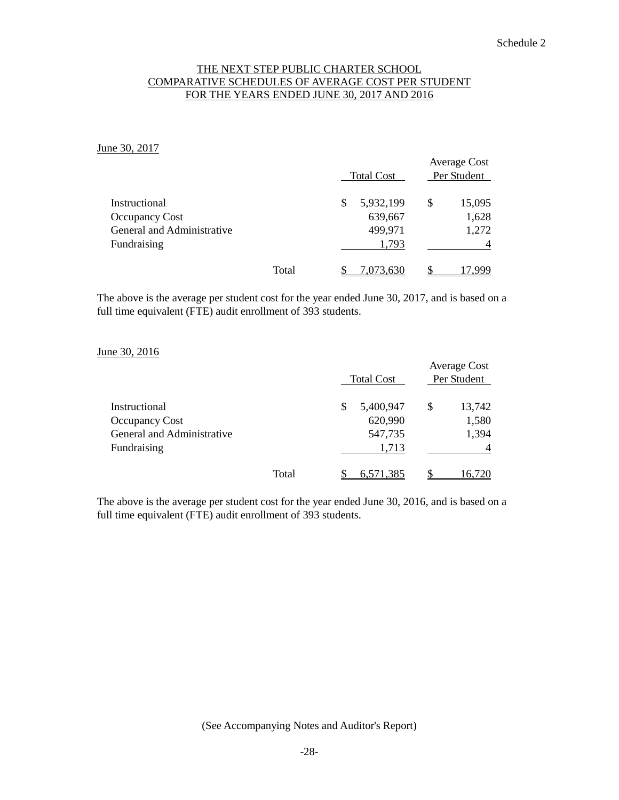## THE NEXT STEP PUBLIC CHARTER SCHOOL COMPARATIVE SCHEDULES OF AVERAGE COST PER STUDENT FOR THE YEARS ENDED JUNE 30, 2017 AND 2016

June 30, 2017

|                            |       | <b>Total Cost</b> | <b>Average Cost</b><br>Per Student |        |  |
|----------------------------|-------|-------------------|------------------------------------|--------|--|
| Instructional              |       | 5,932,199         | \$                                 | 15,095 |  |
| <b>Occupancy Cost</b>      |       | 639,667           |                                    | 1,628  |  |
| General and Administrative |       | 499,971           |                                    | 1,272  |  |
| Fundraising                |       | 1,793             |                                    |        |  |
|                            | Total | 7.073.630         |                                    | 7 QQC  |  |

The above is the average per student cost for the year ended June 30, 2017, and is based on a full time equivalent (FTE) audit enrollment of 393 students.

#### June 30, 2016

|                            |       | <b>Total Cost</b> | <b>Average Cost</b><br>Per Student |        |  |
|----------------------------|-------|-------------------|------------------------------------|--------|--|
| Instructional              |       | \$<br>5,400,947   | S                                  | 13,742 |  |
| <b>Occupancy Cost</b>      |       | 620,990           |                                    | 1,580  |  |
| General and Administrative |       | 547,735           |                                    | 1,394  |  |
| Fundraising                |       | 1,713             |                                    | 4      |  |
|                            | Total | 6,571,385         |                                    | 16.720 |  |

The above is the average per student cost for the year ended June 30, 2016, and is based on a full time equivalent (FTE) audit enrollment of 393 students.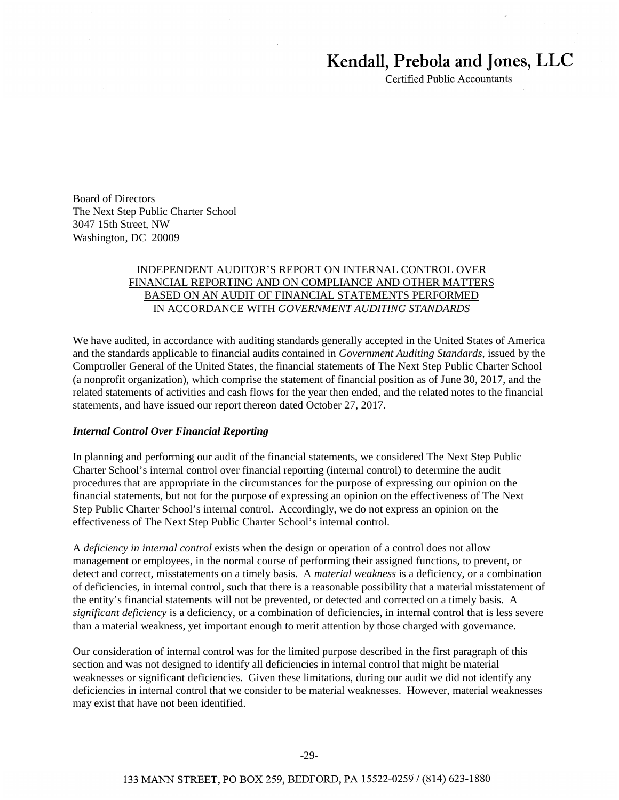# Kendall, Prebola and Jones, LLC

**Certified Public Accountants** 

Board of Directors The Next Step Public Charter School 3047 15th Street, NW Washington, DC 20009

#### INDEPENDENT AUDITOR'S REPORT ON INTERNAL CONTROL OVER FINANCIAL REPORTING AND ON COMPLIANCE AND OTHER MATTERS BASED ON AN AUDIT OF FINANCIAL STATEMENTS PERFORMED IN ACCORDANCE WITH *GOVERNMENT AUDITING STANDARDS*

We have audited, in accordance with auditing standards generally accepted in the United States of America and the standards applicable to financial audits contained in *Government Auditing Standards*, issued by the Comptroller General of the United States, the financial statements of The Next Step Public Charter School (a nonprofit organization), which comprise the statement of financial position as of June 30, 2017, and the related statements of activities and cash flows for the year then ended, and the related notes to the financial statements, and have issued our report thereon dated October 27, 2017.

#### *Internal Control Over Financial Reporting*

In planning and performing our audit of the financial statements, we considered The Next Step Public Charter School's internal control over financial reporting (internal control) to determine the audit procedures that are appropriate in the circumstances for the purpose of expressing our opinion on the financial statements, but not for the purpose of expressing an opinion on the effectiveness of The Next Step Public Charter School's internal control. Accordingly, we do not express an opinion on the effectiveness of The Next Step Public Charter School's internal control.

A *deficiency in internal control* exists when the design or operation of a control does not allow management or employees, in the normal course of performing their assigned functions, to prevent, or detect and correct, misstatements on a timely basis. A *material weakness* is a deficiency, or a combination of deficiencies, in internal control, such that there is a reasonable possibility that a material misstatement of the entity's financial statements will not be prevented, or detected and corrected on a timely basis. A *significant deficiency* is a deficiency, or a combination of deficiencies, in internal control that is less severe than a material weakness, yet important enough to merit attention by those charged with governance.

Our consideration of internal control was for the limited purpose described in the first paragraph of this section and was not designed to identify all deficiencies in internal control that might be material weaknesses or significant deficiencies. Given these limitations, during our audit we did not identify any deficiencies in internal control that we consider to be material weaknesses. However, material weaknesses may exist that have not been identified.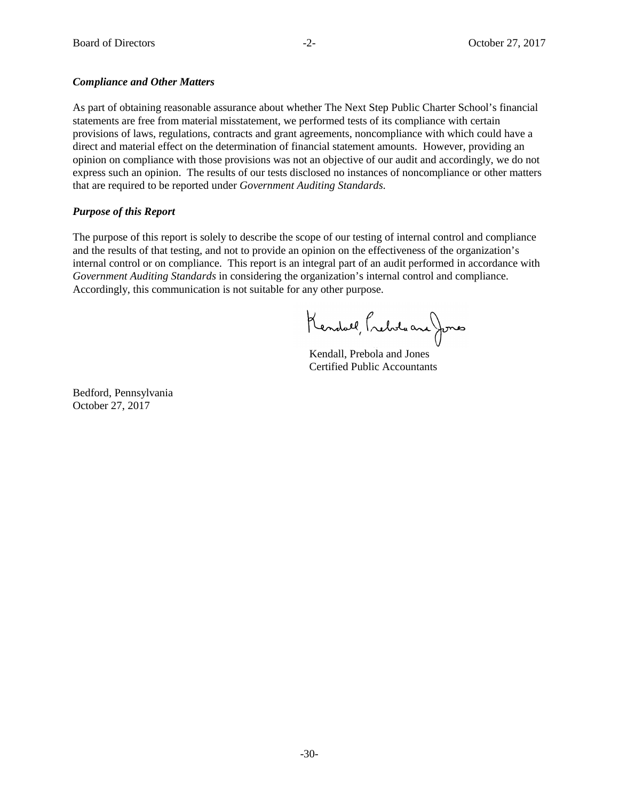## *Compliance and Other Matters*

As part of obtaining reasonable assurance about whether The Next Step Public Charter School's financial statements are free from material misstatement, we performed tests of its compliance with certain provisions of laws, regulations, contracts and grant agreements, noncompliance with which could have a direct and material effect on the determination of financial statement amounts. However, providing an opinion on compliance with those provisions was not an objective of our audit and accordingly, we do not express such an opinion. The results of our tests disclosed no instances of noncompliance or other matters that are required to be reported under *Government Auditing Standards*.

## *Purpose of this Report*

The purpose of this report is solely to describe the scope of our testing of internal control and compliance and the results of that testing, and not to provide an opinion on the effectiveness of the organization's internal control or on compliance. This report is an integral part of an audit performed in accordance with *Government Auditing Standards* in considering the organization's internal control and compliance. Accordingly, this communication is not suitable for any other purpose.

Kendall, Prebleau Jones

Kendall, Prebola and Jones Certified Public Accountants

Bedford, Pennsylvania October 27, 2017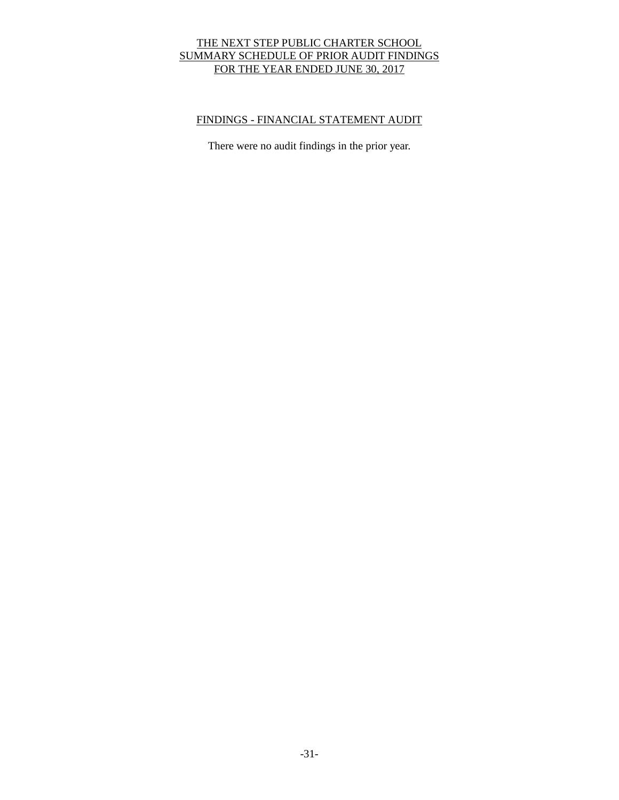## THE NEXT STEP PUBLIC CHARTER SCHOOL SUMMARY SCHEDULE OF PRIOR AUDIT FINDINGS FOR THE YEAR ENDED JUNE 30, 2017

## FINDINGS - FINANCIAL STATEMENT AUDIT

There were no audit findings in the prior year.